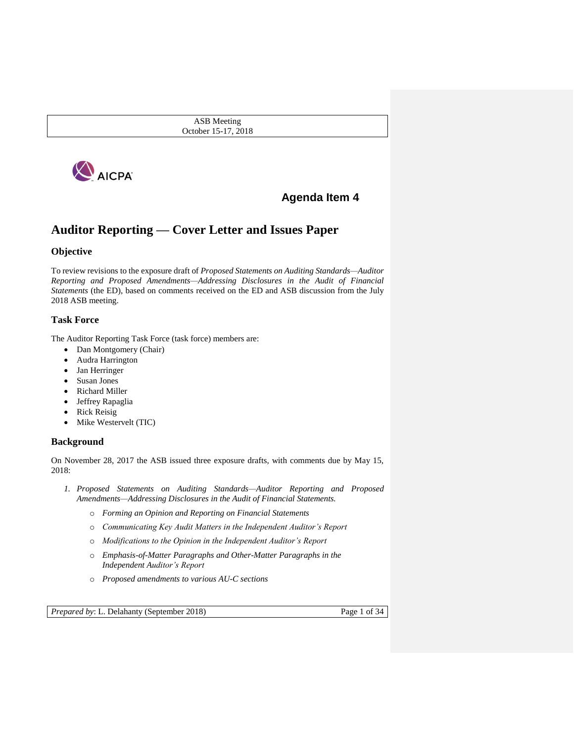ASB Meeting October 15-17, 2018



# **Agenda Item 4**

# **Auditor Reporting — Cover Letter and Issues Paper**

# **Objective**

To review revisions to the exposure draft of *Proposed Statements on Auditing Standards—Auditor Reporting and Proposed Amendments—Addressing Disclosures in the Audit of Financial Statements* (the ED), based on comments received on the ED and ASB discussion from the July 2018 ASB meeting.

# **Task Force**

The Auditor Reporting Task Force (task force) members are:

- Dan Montgomery (Chair)
- Audra Harrington
- Jan Herringer
- Susan Jones
- Richard Miller
- Jeffrey Rapaglia
- Rick Reisig
- Mike Westervelt (TIC)

# **Background**

On November 28, 2017 the ASB issued three exposure drafts, with comments due by May 15, 2018:

- *1. Proposed Statements on Auditing Standards—Auditor Reporting and Proposed Amendments—Addressing Disclosures in the Audit of Financial Statements.* 
	- o *Forming an Opinion and Reporting on Financial Statements*
	- o *Communicating Key Audit Matters in the Independent Auditor's Report*
	- o *Modifications to the Opinion in the Independent Auditor's Report*
	- o *Emphasis-of-Matter Paragraphs and Other-Matter Paragraphs in the Independent Auditor's Report*
	- o *Proposed amendments to various AU-C sections*

*Prepared by*: L. Delahanty (September 2018) Page 1 of 34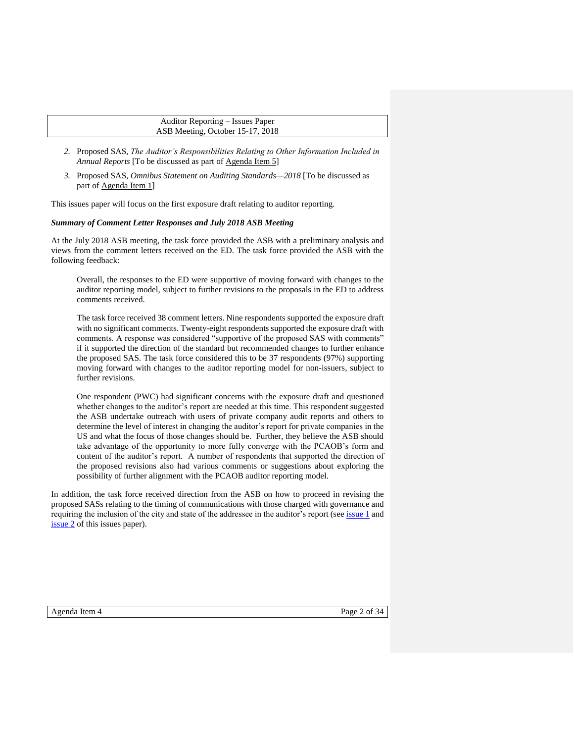| Auditor Reporting – Issues Paper |  |
|----------------------------------|--|
| ASB Meeting, October 15-17, 2018 |  |

- *2.* Proposed SAS, *The Auditor's Responsibilities Relating to Other Information Included in Annual Reports* [To be discussed as part of Agenda Item 5]
- *3.* Proposed SAS, *Omnibus Statement on Auditing Standards—2018* [To be discussed as part of **Agenda** Item 1]

This issues paper will focus on the first exposure draft relating to auditor reporting.

#### *Summary of Comment Letter Responses and July 2018 ASB Meeting*

At the July 2018 ASB meeting, the task force provided the ASB with a preliminary analysis and views from the comment letters received on the ED. The task force provided the ASB with the following feedback:

Overall, the responses to the ED were supportive of moving forward with changes to the auditor reporting model, subject to further revisions to the proposals in the ED to address comments received.

The task force received 38 comment letters. Nine respondents supported the exposure draft with no significant comments. Twenty-eight respondents supported the exposure draft with comments. A response was considered "supportive of the proposed SAS with comments" if it supported the direction of the standard but recommended changes to further enhance the proposed SAS. The task force considered this to be 37 respondents (97%) supporting moving forward with changes to the auditor reporting model for non-issuers, subject to further revisions.

One respondent (PWC) had significant concerns with the exposure draft and questioned whether changes to the auditor's report are needed at this time. This respondent suggested the ASB undertake outreach with users of private company audit reports and others to determine the level of interest in changing the auditor's report for private companies in the US and what the focus of those changes should be. Further, they believe the ASB should take advantage of the opportunity to more fully converge with the PCAOB's form and content of the auditor's report. A number of respondents that supported the direction of the proposed revisions also had various comments or suggestions about exploring the possibility of further alignment with the PCAOB auditor reporting model.

In addition, the task force received direction from the ASB on how to proceed in revising the proposed SASs relating to the timing of communications with those charged with governance and requiring the inclusion of the city and state of the addressee in the auditor's report (see [issue 1](#page-9-0) and [issue 2](#page-11-0) of this issues paper).

Agenda Item 4 Page 2 of 34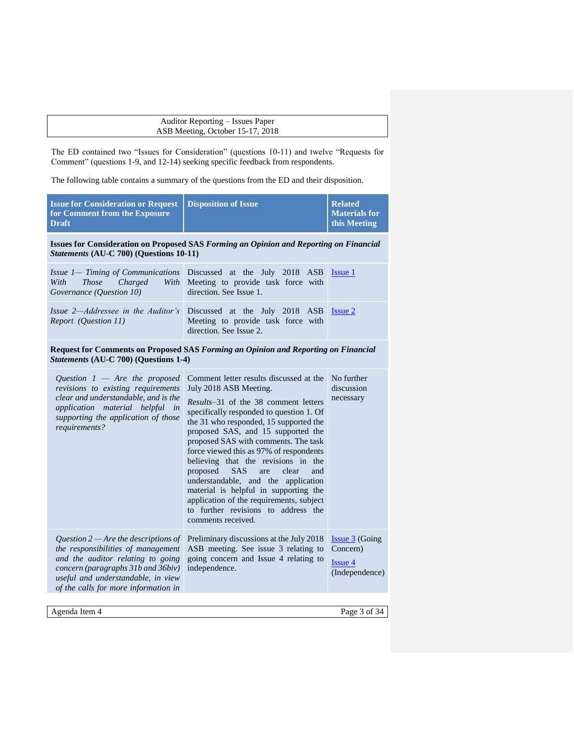| Auditor Reporting – Issues Paper |
|----------------------------------|
| ASB Meeting, October 15-17, 2018 |

The ED contained two "Issues for Consideration" (questions 10-11) and twelve "Requests for Comment" (questions 1-9, and 12-14) seeking specific feedback from respondents.

The following table contains a summary of the questions from the ED and their disposition.

| <b>Issue for Consideration or Request</b><br>for Comment from the Exposure<br><b>Draft</b>                                                                                                                                            | <b>Disposition of Issue</b>                                                                                                                                                                                                                                                                                                                                                                                                                                                                                                                                                                               | <b>Related</b><br><b>Materials for</b><br>this Meeting    |
|---------------------------------------------------------------------------------------------------------------------------------------------------------------------------------------------------------------------------------------|-----------------------------------------------------------------------------------------------------------------------------------------------------------------------------------------------------------------------------------------------------------------------------------------------------------------------------------------------------------------------------------------------------------------------------------------------------------------------------------------------------------------------------------------------------------------------------------------------------------|-----------------------------------------------------------|
| Statements (AU-C 700) (Questions 10-11)                                                                                                                                                                                               | Issues for Consideration on Proposed SAS Forming an Opinion and Reporting on Financial                                                                                                                                                                                                                                                                                                                                                                                                                                                                                                                    |                                                           |
| Issue 1- Timing of Communications<br>Charged<br>With<br>With<br><i>Those</i><br>Governance (Question 10)                                                                                                                              | Discussed at the July 2018 ASB<br>Meeting to provide task force with<br>direction. See Issue 1.                                                                                                                                                                                                                                                                                                                                                                                                                                                                                                           | <b>Issue 1</b>                                            |
| Issue 2-Addressee in the Auditor's<br>Report (Question 11)                                                                                                                                                                            | Discussed at the July 2018 ASB<br>Meeting to provide task force with<br>direction. See Issue 2.                                                                                                                                                                                                                                                                                                                                                                                                                                                                                                           | Issue 2                                                   |
| Statements (AU-C 700) (Questions 1-4)                                                                                                                                                                                                 | Request for Comments on Proposed SAS Forming an Opinion and Reporting on Financial                                                                                                                                                                                                                                                                                                                                                                                                                                                                                                                        |                                                           |
| Question $1$ — Are the proposed<br>revisions to existing requirements<br>clear and understandable, and is the<br>application material helpful<br>in<br>supporting the application of those<br>requirements?                           | Comment letter results discussed at the<br>July 2018 ASB Meeting.<br>Results-31 of the 38 comment letters<br>specifically responded to question 1. Of<br>the 31 who responded, 15 supported the<br>proposed SAS, and 15 supported the<br>proposed SAS with comments. The task<br>force viewed this as 97% of respondents<br>believing that the revisions in the<br>proposed<br><b>SAS</b><br>clear<br>are<br>and<br>understandable, and the application<br>material is helpful in supporting the<br>application of the requirements, subject<br>to further revisions to address the<br>comments received. | No further<br>discussion<br>necessary                     |
| Question $2$ – Are the descriptions of<br>the responsibilities of management<br>and the auditor relating to going<br>concern (paragraphs 31b and 36biv)<br>useful and understandable, in view<br>of the calls for more information in | Preliminary discussions at the July 2018<br>ASB meeting. See issue 3 relating to<br>going concern and Issue 4 relating to<br>independence.                                                                                                                                                                                                                                                                                                                                                                                                                                                                | $Issue 3$ (Going<br>Concern)<br>Issue 4<br>(Independence) |
|                                                                                                                                                                                                                                       |                                                                                                                                                                                                                                                                                                                                                                                                                                                                                                                                                                                                           |                                                           |
| Agenda Item 4                                                                                                                                                                                                                         |                                                                                                                                                                                                                                                                                                                                                                                                                                                                                                                                                                                                           | Page 3 of 34                                              |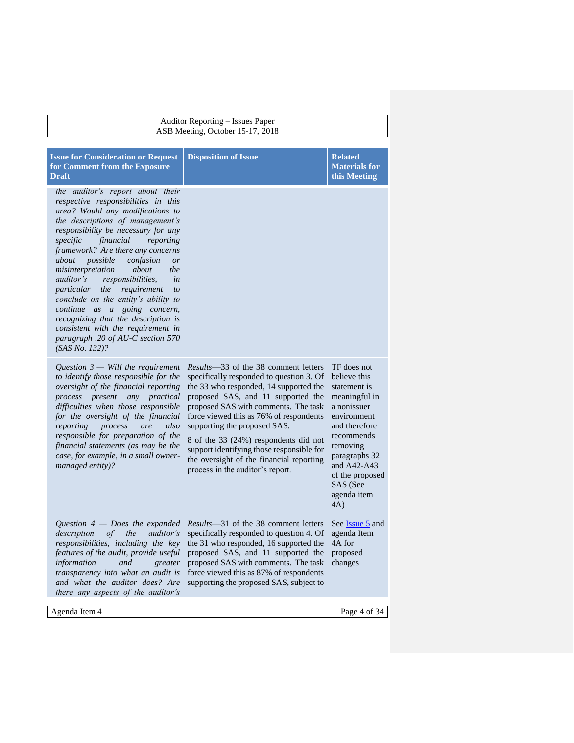| Auditor Reporting - Issues Paper<br>ASB Meeting, October 15-17, 2018                                                                                                                                                                                                                                                                                                                                                                                                                                                                                                                                                                               |                                                                                                                                                                                                                                                                                                                                                                                                                                                           |                                                                                                                                                                                                                              |
|----------------------------------------------------------------------------------------------------------------------------------------------------------------------------------------------------------------------------------------------------------------------------------------------------------------------------------------------------------------------------------------------------------------------------------------------------------------------------------------------------------------------------------------------------------------------------------------------------------------------------------------------------|-----------------------------------------------------------------------------------------------------------------------------------------------------------------------------------------------------------------------------------------------------------------------------------------------------------------------------------------------------------------------------------------------------------------------------------------------------------|------------------------------------------------------------------------------------------------------------------------------------------------------------------------------------------------------------------------------|
| <b>Issue for Consideration or Request</b><br>for Comment from the Exposure<br>Draft                                                                                                                                                                                                                                                                                                                                                                                                                                                                                                                                                                | <b>Disposition of Issue</b>                                                                                                                                                                                                                                                                                                                                                                                                                               | <b>Related</b><br><b>Materials for</b><br>this Meeting                                                                                                                                                                       |
| the auditor's report about their<br>respective responsibilities in this<br>area? Would any modifications to<br>the descriptions of management's<br>responsibility be necessary for any<br>specific<br>financial<br>reporting<br>framework? Are there any concerns<br>possible<br>confusion<br>about<br>or<br>misinterpretation<br>about<br>the<br><i>auditor's</i><br>responsibilities,<br>in<br>particular the<br>requirement<br>to<br>conclude on the entity's ability to<br>going concern,<br>continue as a<br>recognizing that the description is<br>consistent with the requirement in<br>paragraph .20 of AU-C section 570<br>(SAS No. 132)? |                                                                                                                                                                                                                                                                                                                                                                                                                                                           |                                                                                                                                                                                                                              |
| Question $3$ — Will the requirement<br>to identify those responsible for the<br>oversight of the financial reporting<br>process present any practical<br>difficulties when those responsible<br>for the oversight of the financial<br>reporting<br>process<br>are<br>also<br>responsible for preparation of the<br>financial statements (as may be the<br>case, for example, in a small owner-<br>managed entity)?                                                                                                                                                                                                                                 | Results-33 of the 38 comment letters<br>specifically responded to question 3. Of<br>the 33 who responded, 14 supported the<br>proposed SAS, and 11 supported the<br>proposed SAS with comments. The task<br>force viewed this as 76% of respondents<br>supporting the proposed SAS.<br>8 of the 33 (24%) respondents did not<br>support identifying those responsible for<br>the oversight of the financial reporting<br>process in the auditor's report. | TF does not<br>believe this<br>statement is<br>meaningful in<br>a nonissuer<br>environment<br>and therefore<br>recommends<br>removing<br>paragraphs 32<br>and $A42-A43$<br>of the proposed<br>SAS (See<br>agenda item<br>4A) |
| Question $4 - Does$ the expanded<br>$\sigma f$<br>description<br>the<br><i>auditor's</i><br>responsibilities, including the key<br>features of the audit, provide useful<br>information<br>and<br>greater<br>transparency into what an audit is<br>and what the auditor does? Are<br>there any aspects of the auditor's                                                                                                                                                                                                                                                                                                                            | <i>Results</i> —31 of the 38 comment letters<br>specifically responded to question 4. Of<br>the 31 who responded, 16 supported the<br>proposed SAS, and 11 supported the<br>proposed SAS with comments. The task<br>force viewed this as 87% of respondents<br>supporting the proposed SAS, subject to                                                                                                                                                    | See Issue 5 and<br>agenda Item<br>4A for<br>proposed<br>changes                                                                                                                                                              |
| Agenda Item 4                                                                                                                                                                                                                                                                                                                                                                                                                                                                                                                                                                                                                                      |                                                                                                                                                                                                                                                                                                                                                                                                                                                           | Page 4 of 34                                                                                                                                                                                                                 |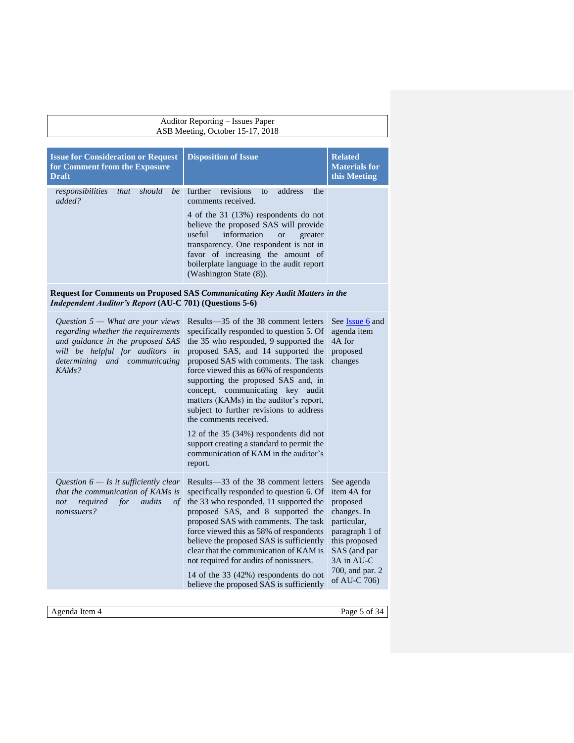| Auditor Reporting – Issues Paper<br>ASB Meeting, October 15-17, 2018                                                                                                                      |                                                                                                                                                                                                                                                                                                                                                                                                                                                                                                                                                                                          |                                                                                                                                                                         |
|-------------------------------------------------------------------------------------------------------------------------------------------------------------------------------------------|------------------------------------------------------------------------------------------------------------------------------------------------------------------------------------------------------------------------------------------------------------------------------------------------------------------------------------------------------------------------------------------------------------------------------------------------------------------------------------------------------------------------------------------------------------------------------------------|-------------------------------------------------------------------------------------------------------------------------------------------------------------------------|
| <b>Issue for Consideration or Request</b><br>for Comment from the Exposure<br><b>Draft</b>                                                                                                | <b>Disposition of Issue</b>                                                                                                                                                                                                                                                                                                                                                                                                                                                                                                                                                              | <b>Related</b><br><b>Materials for</b><br>this Meeting                                                                                                                  |
| responsibilities<br>that<br>should<br>be<br>added?                                                                                                                                        | further<br>revisions<br>address<br>to<br>the<br>comments received.<br>4 of the 31 (13%) respondents do not<br>believe the proposed SAS will provide<br>information<br>useful<br><b>or</b><br>greater<br>transparency. One respondent is not in<br>favor of increasing the amount of<br>boilerplate language in the audit report<br>(Washington State (8)).                                                                                                                                                                                                                               |                                                                                                                                                                         |
| Request for Comments on Proposed SAS Communicating Key Audit Matters in the<br>Independent Auditor's Report (AU-C 701) (Questions 5-6)                                                    |                                                                                                                                                                                                                                                                                                                                                                                                                                                                                                                                                                                          |                                                                                                                                                                         |
| Question $5$ — What are your views<br>regarding whether the requirements<br>and guidance in the proposed SAS<br>will be helpful for auditors in<br>determining and communicating<br>KAMs? | Results-35 of the 38 comment letters<br>specifically responded to question 5. Of<br>the 35 who responded, 9 supported the<br>proposed SAS, and 14 supported the<br>proposed SAS with comments. The task<br>force viewed this as 66% of respondents<br>supporting the proposed SAS and, in<br>concept, communicating key audit<br>matters (KAMs) in the auditor's report,<br>subject to further revisions to address<br>the comments received.<br>12 of the 35 (34%) respondents did not<br>support creating a standard to permit the<br>communication of KAM in the auditor's<br>report. | See <b>Issue 6</b> and<br>agenda item<br>4A for<br>proposed<br>changes                                                                                                  |
| Question $6 - Is$ it sufficiently clear<br>that the communication of KAMs is<br>required<br>for<br>audits<br>$\sigma f$<br>not<br>nonissuers?                                             | Results—33 of the 38 comment letters<br>specifically responded to question 6. Of<br>the 33 who responded, 11 supported the<br>proposed SAS, and 8 supported the<br>proposed SAS with comments. The task<br>force viewed this as 58% of respondents<br>believe the proposed SAS is sufficiently<br>clear that the communication of KAM is<br>not required for audits of nonissuers.<br>14 of the $33$ (42%) respondents do not<br>believe the proposed SAS is sufficiently                                                                                                                | See agenda<br>item 4A for<br>proposed<br>changes. In<br>particular,<br>paragraph 1 of<br>this proposed<br>SAS (and par<br>3A in AU-C<br>700, and par. 2<br>of AU-C 706) |
| Agenda Item 4                                                                                                                                                                             |                                                                                                                                                                                                                                                                                                                                                                                                                                                                                                                                                                                          | Page 5 of 34                                                                                                                                                            |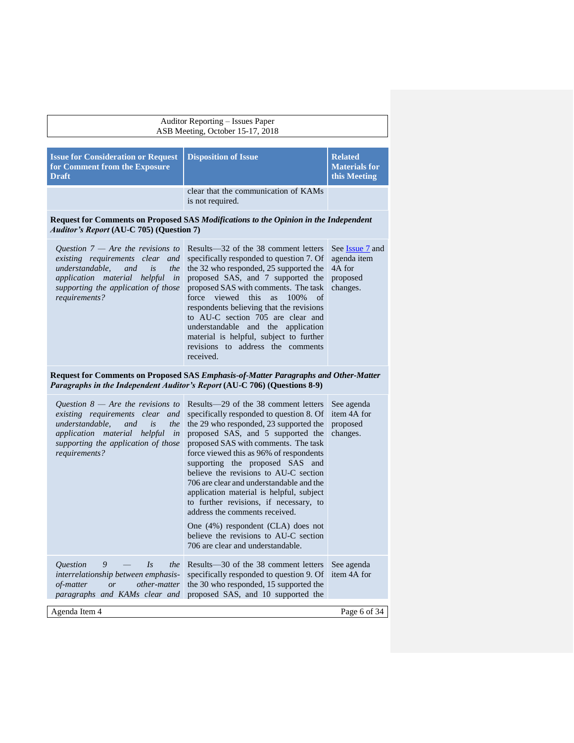| Auditor Reporting – Issues Paper<br>ASB Meeting, October 15-17, 2018                                                                                                                                                     |                                                                                                                                                                                                                                                                                                                                                                                                                                                                                                                                                                                                                        |                                                                  |
|--------------------------------------------------------------------------------------------------------------------------------------------------------------------------------------------------------------------------|------------------------------------------------------------------------------------------------------------------------------------------------------------------------------------------------------------------------------------------------------------------------------------------------------------------------------------------------------------------------------------------------------------------------------------------------------------------------------------------------------------------------------------------------------------------------------------------------------------------------|------------------------------------------------------------------|
| <b>Issue for Consideration or Request</b><br>for Comment from the Exposure<br><b>Draft</b>                                                                                                                               | <b>Disposition of Issue</b>                                                                                                                                                                                                                                                                                                                                                                                                                                                                                                                                                                                            | <b>Related</b><br><b>Materials for</b><br>this Meeting           |
|                                                                                                                                                                                                                          | clear that the communication of KAMs<br>is not required.                                                                                                                                                                                                                                                                                                                                                                                                                                                                                                                                                               |                                                                  |
| Auditor's Report (AU-C 705) (Question 7)                                                                                                                                                                                 | Request for Comments on Proposed SAS Modifications to the Opinion in the Independent                                                                                                                                                                                                                                                                                                                                                                                                                                                                                                                                   |                                                                  |
| Question $7$ — Are the revisions to<br>existing requirements clear<br>and<br>understandable,<br>and<br>is<br>the<br><i>application material</i><br>helpful<br>in<br>supporting the application of those<br>requirements? | Results-32 of the 38 comment letters<br>specifically responded to question 7. Of<br>the 32 who responded, 25 supported the<br>proposed SAS, and 7 supported the<br>proposed SAS with comments. The task<br>viewed<br>this<br>100%<br>force<br>of<br>as<br>respondents believing that the revisions<br>to AU-C section 705 are clear and<br>understandable and the application<br>material is helpful, subject to further<br>revisions to address the comments<br>received.                                                                                                                                             | See Issue 7 and<br>agenda item<br>4A for<br>proposed<br>changes. |
| Request for Comments on Proposed SAS Emphasis-of-Matter Paragraphs and Other-Matter<br>Paragraphs in the Independent Auditor's Report (AU-C 706) (Questions 8-9)                                                         |                                                                                                                                                                                                                                                                                                                                                                                                                                                                                                                                                                                                                        |                                                                  |
| <i>Ouestion</i> $8$ — Are the revisions to<br>existing requirements clear<br>and<br>understandable.<br>the<br>and<br>is<br>application material helpful<br>in<br>supporting the application of those<br>requirements?    | Results-29 of the 38 comment letters<br>specifically responded to question 8. Of<br>the 29 who responded, 23 supported the<br>proposed SAS, and 5 supported the<br>proposed SAS with comments. The task<br>force viewed this as 96% of respondents<br>supporting the proposed SAS and<br>believe the revisions to AU-C section<br>706 are clear and understandable and the<br>application material is helpful, subject<br>to further revisions, if necessary, to<br>address the comments received.<br>One (4%) respondent (CLA) does not<br>believe the revisions to AU-C section<br>706 are clear and understandable. | See agenda<br>item 4A for<br>proposed<br>changes.                |
| Question<br>9<br>the<br>Is<br>interrelationship between emphasis-<br>of-matter<br>other-matter<br><sub>or</sub><br>paragraphs and KAMs clear and<br>Agenda Item 4                                                        | Results-30 of the 38 comment letters<br>specifically responded to question 9. Of<br>the 30 who responded, 15 supported the<br>proposed SAS, and 10 supported the                                                                                                                                                                                                                                                                                                                                                                                                                                                       | See agenda<br>item 4A for<br>Page 6 of 34                        |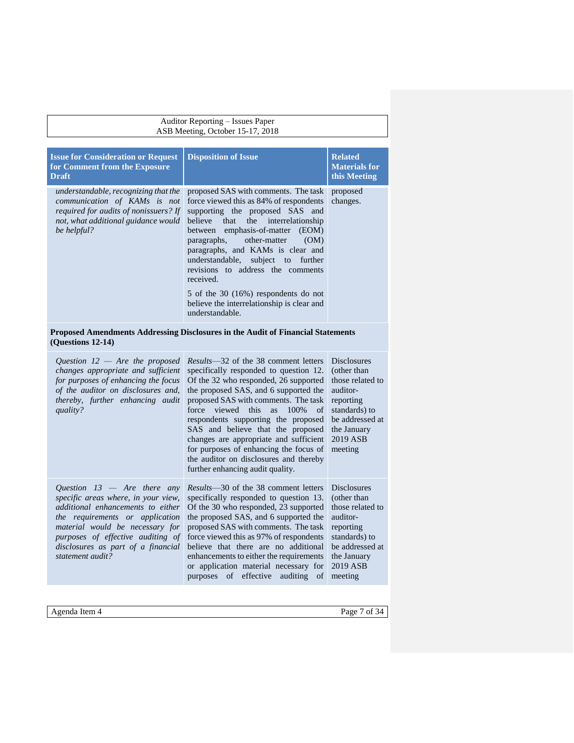| Auditor Reporting - Issues Paper<br>ASB Meeting, October 15-17, 2018                                                                                                                                                                                                           |                                                                                                                                                                                                                                                                                                                                                                                                                                                                                                                      |                                                                                                                                                          |
|--------------------------------------------------------------------------------------------------------------------------------------------------------------------------------------------------------------------------------------------------------------------------------|----------------------------------------------------------------------------------------------------------------------------------------------------------------------------------------------------------------------------------------------------------------------------------------------------------------------------------------------------------------------------------------------------------------------------------------------------------------------------------------------------------------------|----------------------------------------------------------------------------------------------------------------------------------------------------------|
|                                                                                                                                                                                                                                                                                |                                                                                                                                                                                                                                                                                                                                                                                                                                                                                                                      |                                                                                                                                                          |
| <b>Issue for Consideration or Request</b><br>for Comment from the Exposure<br><b>Draft</b>                                                                                                                                                                                     | <b>Disposition of Issue</b>                                                                                                                                                                                                                                                                                                                                                                                                                                                                                          | <b>Related</b><br><b>Materials for</b><br>this Meeting                                                                                                   |
| understandable, recognizing that the<br>communication of KAMs is not<br>required for audits of nonissuers? If<br>not, what additional guidance would<br>be helpful?                                                                                                            | proposed SAS with comments. The task<br>force viewed this as 84% of respondents<br>supporting the proposed SAS<br>and<br>believe<br>that<br>the<br>interrelationship<br>emphasis-of-matter<br>(EOM)<br>between<br>other-matter<br>(OM)<br>paragraphs,<br>paragraphs, and KAMs is clear and<br>understandable,<br>subject to<br>further<br>revisions to address the comments<br>received.                                                                                                                             | proposed<br>changes.                                                                                                                                     |
|                                                                                                                                                                                                                                                                                | 5 of the 30 (16%) respondents do not<br>believe the interrelationship is clear and<br>understandable.                                                                                                                                                                                                                                                                                                                                                                                                                |                                                                                                                                                          |
| <b>Proposed Amendments Addressing Disclosures in the Audit of Financial Statements</b><br>(Questions 12-14)                                                                                                                                                                    |                                                                                                                                                                                                                                                                                                                                                                                                                                                                                                                      |                                                                                                                                                          |
| Question $12$ - Are the proposed<br>changes appropriate and sufficient<br>for purposes of enhancing the focus<br>of the auditor on disclosures and,<br>thereby, further enhancing audit<br>quality?                                                                            | <i>Results</i> —32 of the 38 comment letters<br>specifically responded to question 12.<br>Of the 32 who responded, 26 supported<br>the proposed SAS, and 6 supported the<br>proposed SAS with comments. The task<br>force<br>viewed<br>100%<br>this<br>of<br><b>as</b><br>respondents supporting the proposed<br>SAS and believe that the proposed<br>changes are appropriate and sufficient<br>for purposes of enhancing the focus of<br>the auditor on disclosures and thereby<br>further enhancing audit quality. | <b>Disclosures</b><br>(other than<br>those related to<br>auditor-<br>reporting<br>standards) to<br>be addressed at<br>the January<br>2019 ASB<br>meeting |
| Question $13$ - Are there any<br>specific areas where, in your view,<br>additional enhancements to either<br>the requirements or application<br>material would be necessary for<br>purposes of effective auditing of<br>disclosures as part of a financial<br>statement audit? | <i>Results</i> —30 of the 38 comment letters<br>specifically responded to question 13.<br>Of the 30 who responded, 23 supported<br>the proposed SAS, and 6 supported the<br>proposed SAS with comments. The task<br>force viewed this as 97% of respondents<br>believe that there are no additional<br>enhancements to either the requirements<br>or application material necessary for                                                                                                                              | <b>Disclosures</b><br>(other than<br>those related to<br>auditor-<br>reporting<br>standards) to<br>be addressed at<br>the January<br>2019 ASB            |

purposes of effective auditing of

Agenda Item 4 Page 7 of 34

meeting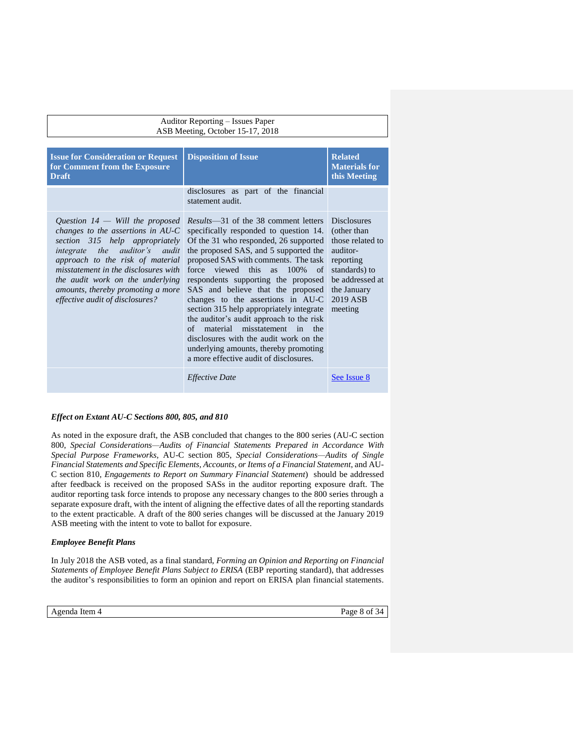| Auditor Reporting – Issues Paper<br>ASB Meeting, October 15-17, 2018                                                                                                                                                                                                                                                                     |                                                                                                                                                                                                                                                                                                                                                                                                                                                                                                                                                                                                                                                       |                                                                                                                                                          |
|------------------------------------------------------------------------------------------------------------------------------------------------------------------------------------------------------------------------------------------------------------------------------------------------------------------------------------------|-------------------------------------------------------------------------------------------------------------------------------------------------------------------------------------------------------------------------------------------------------------------------------------------------------------------------------------------------------------------------------------------------------------------------------------------------------------------------------------------------------------------------------------------------------------------------------------------------------------------------------------------------------|----------------------------------------------------------------------------------------------------------------------------------------------------------|
|                                                                                                                                                                                                                                                                                                                                          |                                                                                                                                                                                                                                                                                                                                                                                                                                                                                                                                                                                                                                                       |                                                                                                                                                          |
| <b>Issue for Consideration or Request</b><br>for Comment from the Exposure<br><b>Draft</b>                                                                                                                                                                                                                                               | <b>Disposition of Issue</b>                                                                                                                                                                                                                                                                                                                                                                                                                                                                                                                                                                                                                           | <b>Related</b><br><b>Materials for</b><br>this Meeting                                                                                                   |
|                                                                                                                                                                                                                                                                                                                                          | disclosures as part of the financial<br>statement audit.                                                                                                                                                                                                                                                                                                                                                                                                                                                                                                                                                                                              |                                                                                                                                                          |
| Question $14$ — Will the proposed<br>changes to the assertions in AU-C<br>section 315 help appropriately<br>integrate the auditor's audit<br>approach to the risk of material<br>misstatement in the disclosures with<br>the audit work on the underlying<br>amounts, thereby promoting a more<br><i>effective audit of disclosures?</i> | <i>Results</i> —31 of the 38 comment letters<br>specifically responded to question 14.<br>Of the 31 who responded, 26 supported<br>the proposed SAS, and 5 supported the<br>proposed SAS with comments. The task<br>viewed<br>this<br>100%<br>force<br><b>as</b><br>of<br>respondents supporting the proposed<br>SAS and believe that the proposed<br>changes to the assertions in AU-C<br>section 315 help appropriately integrate<br>the auditor's audit approach to the risk<br>material misstatement in<br>of<br>the<br>disclosures with the audit work on the<br>underlying amounts, thereby promoting<br>a more effective audit of disclosures. | <b>Disclosures</b><br>(other than<br>those related to<br>auditor-<br>reporting<br>standards) to<br>be addressed at<br>the January<br>2019 ASB<br>meeting |
|                                                                                                                                                                                                                                                                                                                                          | <b>Effective Date</b>                                                                                                                                                                                                                                                                                                                                                                                                                                                                                                                                                                                                                                 | See Issue 8                                                                                                                                              |

### *Effect on Extant AU-C Sections 800, 805, and 810*

As noted in the exposure draft, the ASB concluded that changes to the 800 series (AU-C section 800, *Special Considerations—Audits of Financial Statements Prepared in Accordance With Special Purpose Frameworks*, AU-C section 805, *Special Considerations—Audits of Single Financial Statements and Specific Elements, Accounts, or Items of a Financial Statement*, and AU-C section 810, *Engagements to Report on Summary Financial Statement*) should be addressed after feedback is received on the proposed SASs in the auditor reporting exposure draft. The auditor reporting task force intends to propose any necessary changes to the 800 series through a separate exposure draft, with the intent of aligning the effective dates of all the reporting standards to the extent practicable. A draft of the 800 series changes will be discussed at the January 2019 ASB meeting with the intent to vote to ballot for exposure.

### *Employee Benefit Plans*

In July 2018 the ASB voted, as a final standard, *Forming an Opinion and Reporting on Financial Statements of Employee Benefit Plans Subject to ERISA* (EBP reporting standard), that addresses the auditor's responsibilities to form an opinion and report on ERISA plan financial statements.

Agenda Item 4 Page 8 of 34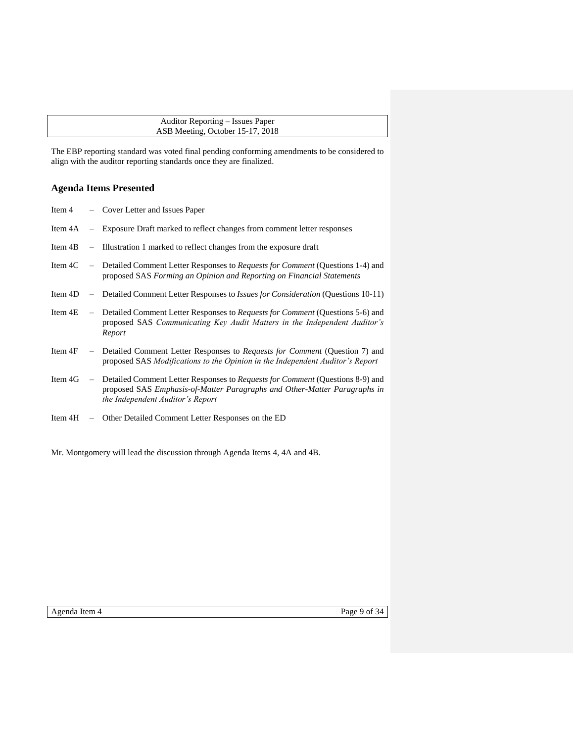| Auditor Reporting – Issues Paper |  |
|----------------------------------|--|
| ASB Meeting, October 15-17, 2018 |  |

The EBP reporting standard was voted final pending conforming amendments to be considered to align with the auditor reporting standards once they are finalized.

# **Agenda Items Presented**

| Item 4  |       | - Cover Letter and Issues Paper                                                                                                                                                                       |
|---------|-------|-------------------------------------------------------------------------------------------------------------------------------------------------------------------------------------------------------|
|         |       | Item 4A - Exposure Draft marked to reflect changes from comment letter responses                                                                                                                      |
| Item 4B |       | - Illustration 1 marked to reflect changes from the exposure draft                                                                                                                                    |
|         |       | Item 4C – Detailed Comment Letter Responses to Requests for Comment (Questions 1-4) and<br>proposed SAS Forming an Opinion and Reporting on Financial Statements                                      |
| Item 4D |       | - Detailed Comment Letter Responses to Issues for Consideration (Questions 10-11)                                                                                                                     |
| Item 4E |       | - Detailed Comment Letter Responses to Requests for Comment (Questions 5-6) and<br>proposed SAS Communicating Key Audit Matters in the Independent Auditor's<br>Report                                |
| Item 4F |       | - Detailed Comment Letter Responses to <i>Requests for Comment</i> (Question 7) and<br>proposed SAS Modifications to the Opinion in the Independent Auditor's Report                                  |
| Item 4G | $ \,$ | Detailed Comment Letter Responses to <i>Requests for Comment</i> (Questions 8-9) and<br>proposed SAS Emphasis-of-Matter Paragraphs and Other-Matter Paragraphs in<br>the Independent Auditor's Report |

Item 4H – Other Detailed Comment Letter Responses on the ED

Mr. Montgomery will lead the discussion through Agenda Items 4, 4A and 4B.

Agenda Item 4 Page 9 of 34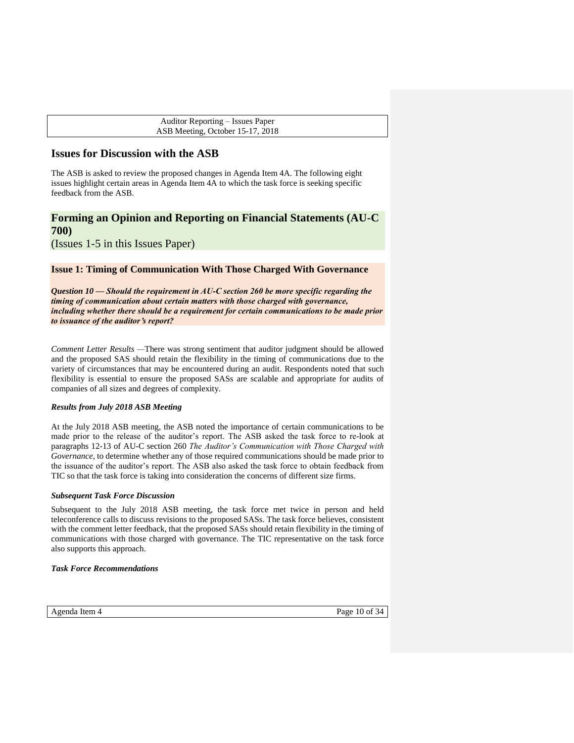| Auditor Reporting – Issues Paper |  |
|----------------------------------|--|
| ASB Meeting, October 15-17, 2018 |  |

# **Issues for Discussion with the ASB**

The ASB is asked to review the proposed changes in Agenda Item 4A. The following eight issues highlight certain areas in Agenda Item 4A to which the task force is seeking specific feedback from the ASB.

# **Forming an Opinion and Reporting on Financial Statements (AU-C 700)**

(Issues 1-5 in this Issues Paper)

# <span id="page-9-0"></span>**Issue 1: Timing of Communication With Those Charged With Governance**

*Question 10 — Should the requirement in AU-C section 260 be more specific regarding the timing of communication about certain matters with those charged with governance, including whether there should be a requirement for certain communications to be made prior to issuance of the auditor's report?*

*Comment Letter Results —*There was strong sentiment that auditor judgment should be allowed and the proposed SAS should retain the flexibility in the timing of communications due to the variety of circumstances that may be encountered during an audit. Respondents noted that such flexibility is essential to ensure the proposed SASs are scalable and appropriate for audits of companies of all sizes and degrees of complexity.

### *Results from July 2018 ASB Meeting*

At the July 2018 ASB meeting, the ASB noted the importance of certain communications to be made prior to the release of the auditor's report. The ASB asked the task force to re-look at paragraphs 12-13 of AU-C section 260 *The Auditor's Communication with Those Charged with Governance*, to determine whether any of those required communications should be made prior to the issuance of the auditor's report. The ASB also asked the task force to obtain feedback from TIC so that the task force is taking into consideration the concerns of different size firms.

#### *Subsequent Task Force Discussion*

Subsequent to the July 2018 ASB meeting, the task force met twice in person and held teleconference calls to discuss revisions to the proposed SASs. The task force believes, consistent with the comment letter feedback, that the proposed SASs should retain flexibility in the timing of communications with those charged with governance. The TIC representative on the task force also supports this approach.

### *Task Force Recommendations*

Agenda Item 4 Page 10 of 34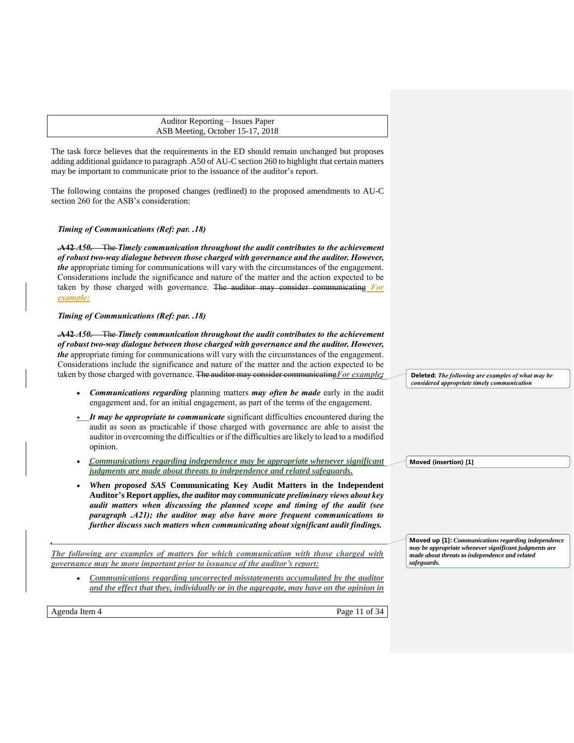| Auditor Reporting – Issues Paper |  |
|----------------------------------|--|
| ASB Meeting, October 15-17, 2018 |  |

The task force believes that the requirements in the ED should remain unchanged but proposes adding additional guidance to paragraph .A50 of AU-C section 260 to highlight that certain matters may be important to communicate prior to the issuance of the auditor's report.

The following contains the proposed changes (redlined) to the proposed amendments to AU-C section 260 for the ASB's consideration:

#### *Timing of Communications (Ref: par. .18)*

**.A42** *A50.* The *Timely communication throughout the audit contributes to the achievement of robust two-way dialogue between those charged with governance and the auditor. However, the* appropriate timing for communications will vary with the circumstances of the engagement. Considerations include the significance and nature of the matter and the action expected to be taken by those charged with governance. The auditor may consider communicating *For example:* 

#### *Timing of Communications (Ref: par. .18)*

**.A42** *A50.* The *Timely communication throughout the audit contributes to the achievement of robust two-way dialogue between those charged with governance and the auditor. However, the* appropriate timing for communications will vary with the circumstances of the engagement. Considerations include the significance and nature of the matter and the action expected to be taken by those charged with governance. The auditor may consider communicating*For example:*

- *Communications regarding* planning matters *may often be made* early in the audit engagement and, for an initial engagement, as part of the terms of the engagement.
- *It may be appropriate to communicate* significant difficulties encountered during the audit as soon as practicable if those charged with governance are able to assist the auditor in overcoming the difficulties or if the difficulties are likely to lead to a modified opinion.
- *Communications regarding independence may be appropriate whenever significant judgments are made about threats to independence and related safeguards.*
- *When proposed SAS* **Communicating Key Audit Matters in the Independent Auditor's Report** *applies, the auditor may communicate preliminary views about key audit matters when discussing the planned scope and timing of the audit (see paragraph .A21); the auditor may also have more frequent communications to further discuss such matters when communicating about significant audit findings.*

*The following are examples of matters for which communication with those charged with governance may be more important prior to issuance of the auditor's report:*

 *Communications regarding uncorrected misstatements accumulated by the auditor and the effect that they, individually or in the aggregate, may have on the opinion in* 

**Moved up [1]:** *Communications regarding independence may be appropriate whenever significant judgments are made about threats to independence and related safeguards.* 

Agenda Item 4 Page 11 of 34

**Deleted:** *The following are examples of what may be considered appropriate timely communication*

**Moved (insertion) [1]**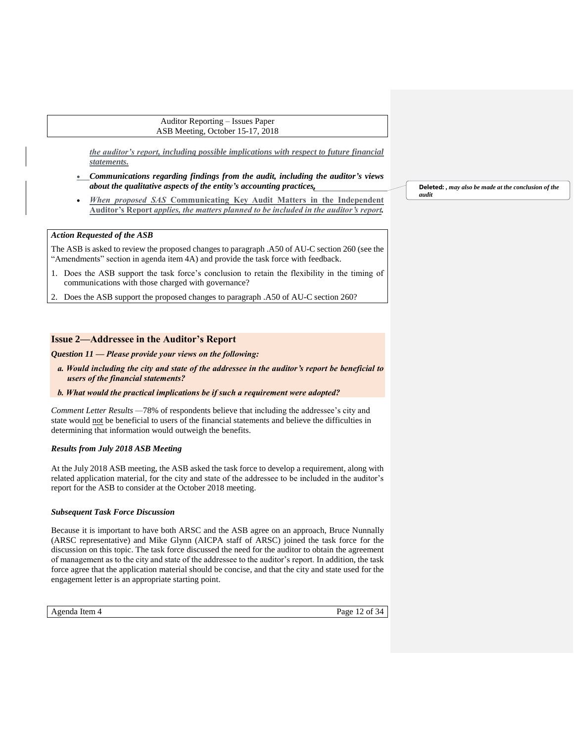*the auditor's report, including possible implications with respect to future financial statements.*

- *Communications regarding findings from the audit, including the auditor's views about the qualitative aspects of the entity's accounting practices.*
- *When proposed SAS* **Communicating Key Audit Matters in the Independent Auditor's Report** *applies, the matters planned to be included in the auditor's report.*

#### *Action Requested of the ASB*

The ASB is asked to review the proposed changes to paragraph .A50 of AU-C section 260 (see the "Amendments" section in agenda item 4A) and provide the task force with feedback.

- 1. Does the ASB support the task force's conclusion to retain the flexibility in the timing of communications with those charged with governance?
- 2. Does the ASB support the proposed changes to paragraph .A50 of AU-C section 260?

## <span id="page-11-0"></span>**Issue 2—Addressee in the Auditor's Report**

*Question 11 — Please provide your views on the following:*

- *a. Would including the city and state of the addressee in the auditor's report be beneficial to users of the financial statements?*
- *b. What would the practical implications be if such a requirement were adopted?*

*Comment Letter Results —*78% of respondents believe that including the addressee's city and state would not be beneficial to users of the financial statements and believe the difficulties in determining that information would outweigh the benefits.

### *Results from July 2018 ASB Meeting*

At the July 2018 ASB meeting, the ASB asked the task force to develop a requirement, along with related application material, for the city and state of the addressee to be included in the auditor's report for the ASB to consider at the October 2018 meeting.

#### *Subsequent Task Force Discussion*

Because it is important to have both ARSC and the ASB agree on an approach, Bruce Nunnally (ARSC representative) and Mike Glynn (AICPA staff of ARSC) joined the task force for the discussion on this topic. The task force discussed the need for the auditor to obtain the agreement of management as to the city and state of the addressee to the auditor's report. In addition, the task force agree that the application material should be concise, and that the city and state used for the engagement letter is an appropriate starting point.

Agenda Item 4 Page 12 of 34

**Deleted:** *, may also be made at the conclusion of the audit*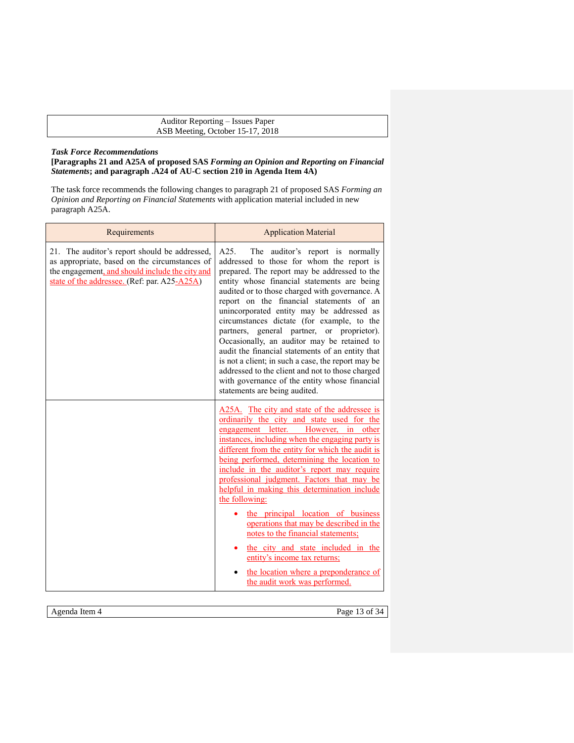| Auditor Reporting – Issues Paper |
|----------------------------------|
| ASB Meeting, October 15-17, 2018 |

#### *Task Force Recommendations*

**[Paragraphs 21 and A25A of proposed SAS** *Forming an Opinion and Reporting on Financial Statements***; and paragraph .A24 of AU-C section 210 in Agenda Item 4A)**

The task force recommends the following changes to paragraph 21 of proposed SAS *Forming an Opinion and Reporting on Financial Statements* with application material included in new paragraph A25A.

| Requirements                                                                                                                                                                                      | <b>Application Material</b>                                                                                                                                                                                                                                                                                                                                                                                                                                                                                                                                                                                                                                                                                                     |
|---------------------------------------------------------------------------------------------------------------------------------------------------------------------------------------------------|---------------------------------------------------------------------------------------------------------------------------------------------------------------------------------------------------------------------------------------------------------------------------------------------------------------------------------------------------------------------------------------------------------------------------------------------------------------------------------------------------------------------------------------------------------------------------------------------------------------------------------------------------------------------------------------------------------------------------------|
| 21. The auditor's report should be addressed,<br>as appropriate, based on the circumstances of<br>the engagement, and should include the city and<br>state of the addressee. (Ref: par. A25-A25A) | A25.<br>The auditor's report is normally<br>addressed to those for whom the report is<br>prepared. The report may be addressed to the<br>entity whose financial statements are being<br>audited or to those charged with governance. A<br>report on the financial statements of an<br>unincorporated entity may be addressed as<br>circumstances dictate (for example, to the<br>partners, general partner, or proprietor).<br>Occasionally, an auditor may be retained to<br>audit the financial statements of an entity that<br>is not a client; in such a case, the report may be<br>addressed to the client and not to those charged<br>with governance of the entity whose financial<br>statements are being audited.      |
|                                                                                                                                                                                                   | A25A. The city and state of the addressee is<br>ordinarily the city and state used for the<br>engagement letter. However, in other<br>instances, including when the engaging party is<br>different from the entity for which the audit is<br>being performed, determining the location to<br>include in the auditor's report may require<br>professional judgment. Factors that may be<br>helpful in making this determination include<br>the following:<br>the principal location of business<br>operations that may be described in the<br>notes to the financial statements;<br>the city and state included in the<br>entity's income tax returns;<br>the location where a preponderance of<br>the audit work was performed. |

Agenda Item 4 Page 13 of 34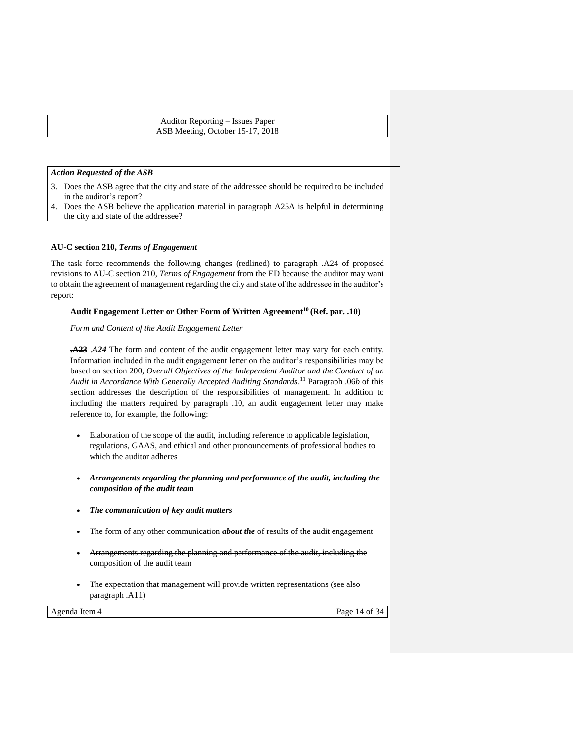#### *Action Requested of the ASB*

- 3. Does the ASB agree that the city and state of the addressee should be required to be included in the auditor's report?
- 4. Does the ASB believe the application material in paragraph A25A is helpful in determining the city and state of the addressee?

#### **AU-C section 210,** *Terms of Engagement*

The task force recommends the following changes (redlined) to paragraph .A24 of proposed revisions to AU-C section 210, *Terms of Engagement* from the ED because the auditor may want to obtain the agreement of management regarding the city and state of the addressee in the auditor's report:

### **Audit Engagement Letter or Other Form of Written Agreement<sup>10</sup>(Ref. par. .10)**

*Form and Content of the Audit Engagement Letter*

**.A23** .*A24* The form and content of the audit engagement letter may vary for each entity. Information included in the audit engagement letter on the auditor's responsibilities may be based on section 200, *Overall Objectives of the Independent Auditor and the Conduct of an Audit in Accordance With Generally Accepted Auditing Standards*. <sup>11</sup> Paragraph .06*b* of this section addresses the description of the responsibilities of management. In addition to including the matters required by paragraph .10, an audit engagement letter may make reference to, for example, the following:

- Elaboration of the scope of the audit, including reference to applicable legislation, regulations, GAAS, and ethical and other pronouncements of professional bodies to which the auditor adheres
- *Arrangements regarding the planning and performance of the audit, including the composition of the audit team*
- *The communication of key audit matters*
- The form of any other communication *about the* of results of the audit engagement
- Arrangements regarding the planning and performance of the audit, including the composition of the audit team
- The expectation that management will provide written representations (see also paragraph .A11)

Agenda Item 4 Page 14 of 34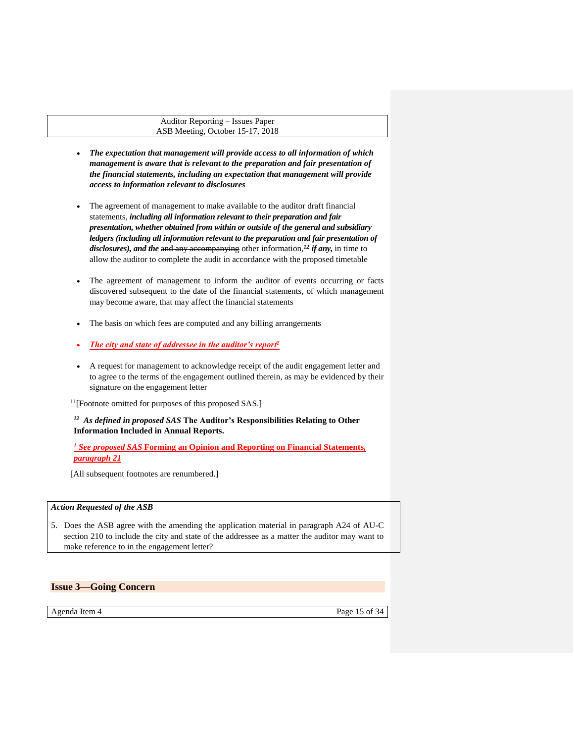- *The expectation that management will provide access to all information of which management is aware that is relevant to the preparation and fair presentation of the financial statements, including an expectation that management will provide access to information relevant to disclosures*
- The agreement of management to make available to the auditor draft financial statements, *including all information relevant to their preparation and fair presentation, whether obtained from within or outside of the general and subsidiary ledgers (including all information relevant to the preparation and fair presentation of disclosures), and the and any accompanying other information,<sup>12</sup> <i>if any*, in time to allow the auditor to complete the audit in accordance with the proposed timetable
- The agreement of management to inform the auditor of events occurring or facts discovered subsequent to the date of the financial statements, of which management may become aware, that may affect the financial statements
- The basis on which fees are computed and any billing arrangements
- *The city and state of addressee in the auditor's report<sup>1</sup>*
- A request for management to acknowledge receipt of the audit engagement letter and to agree to the terms of the engagement outlined therein, as may be evidenced by their signature on the engagement letter

 $11$ <sup>[Footnote omitted for purposes of this proposed SAS.]</sup>

*<sup>12</sup>As defined in proposed SAS* **The Auditor's Responsibilities Relating to Other Information Included in Annual Reports.**

*<sup>1</sup> See proposed SAS* **Forming an Opinion and Reporting on Financial Statements***, paragraph 21*

[All subsequent footnotes are renumbered.]

#### *Action Requested of the ASB*

5. Does the ASB agree with the amending the application material in paragraph A24 of AU-C section 210 to include the city and state of the addressee as a matter the auditor may want to make reference to in the engagement letter?

### <span id="page-14-0"></span>**Issue 3—Going Concern**

Agenda Item 4 Page 15 of 34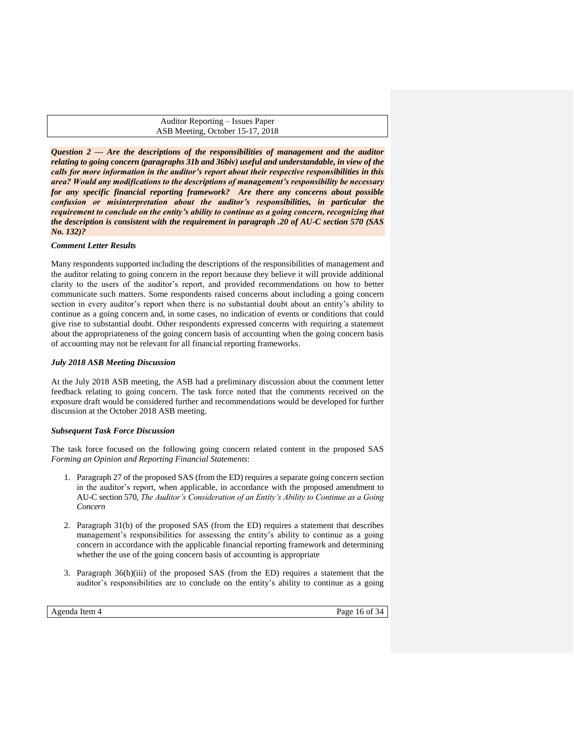*Question 2 — Are the descriptions of the responsibilities of management and the auditor relating to going concern (paragraphs 31b and 36biv) useful and understandable, in view of the calls for more information in the auditor's report about their respective responsibilities in this area? Would any modifications to the descriptions of management's responsibility be necessary for any specific financial reporting framework? Are there any concerns about possible confusion or misinterpretation about the auditor's responsibilities, in particular the requirement to conclude on the entity's ability to continue as a going concern, recognizing that the description is consistent with the requirement in paragraph .20 of AU-C section 570 (SAS No. 132)?* 

#### *Comment Letter Results*

Many respondents supported including the descriptions of the responsibilities of management and the auditor relating to going concern in the report because they believe it will provide additional clarity to the users of the auditor's report, and provided recommendations on how to better communicate such matters. Some respondents raised concerns about including a going concern section in every auditor's report when there is no substantial doubt about an entity's ability to continue as a going concern and, in some cases, no indication of events or conditions that could give rise to substantial doubt. Other respondents expressed concerns with requiring a statement about the appropriateness of the going concern basis of accounting when the going concern basis of accounting may not be relevant for all financial reporting frameworks.

#### *July 2018 ASB Meeting Discussion*

At the July 2018 ASB meeting, the ASB had a preliminary discussion about the comment letter feedback relating to going concern. The task force noted that the comments received on the exposure draft would be considered further and recommendations would be developed for further discussion at the October 2018 ASB meeting.

#### *Subsequent Task Force Discussion*

The task force focused on the following going concern related content in the proposed SAS *Forming an Opinion and Reporting Financial Statements*:

- 1. Paragraph 27 of the proposed SAS (from the ED) requires a separate going concern section in the auditor's report, when applicable, in accordance with the proposed amendment to AU-C section 570, *The Auditor's Consideration of an Entity's Ability to Continue as a Going Concern*
- 2. Paragraph 31(b) of the proposed SAS (from the ED) requires a statement that describes management's responsibilities for assessing the entity's ability to continue as a going concern in accordance with the applicable financial reporting framework and determining whether the use of the going concern basis of accounting is appropriate
- 3. Paragraph 36(b)(iii) of the proposed SAS (from the ED) requires a statement that the auditor's responsibilities are to conclude on the entity's ability to continue as a going

Agenda Item 4 Page 16 of 34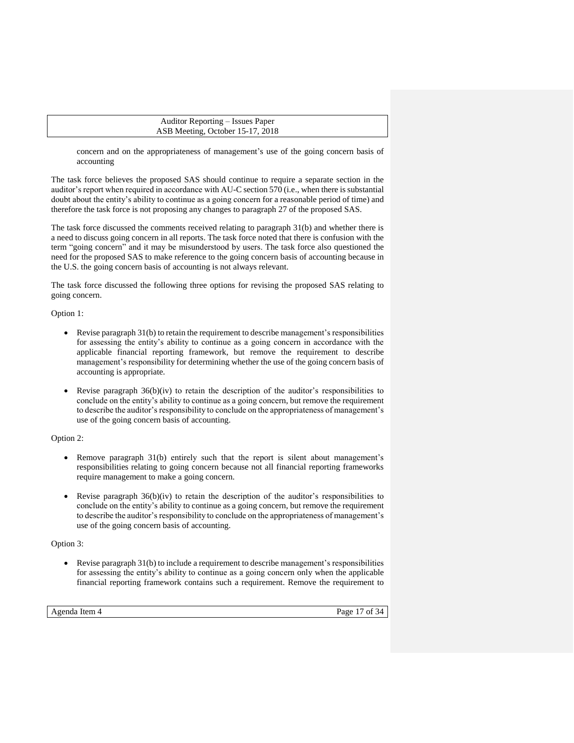| Auditor Reporting – Issues Paper |  |
|----------------------------------|--|
| ASB Meeting, October 15-17, 2018 |  |

concern and on the appropriateness of management's use of the going concern basis of accounting

The task force believes the proposed SAS should continue to require a separate section in the auditor's report when required in accordance with AU-C section 570 (i.e., when there is substantial doubt about the entity's ability to continue as a going concern for a reasonable period of time) and therefore the task force is not proposing any changes to paragraph 27 of the proposed SAS.

The task force discussed the comments received relating to paragraph 31(b) and whether there is a need to discuss going concern in all reports. The task force noted that there is confusion with the term "going concern" and it may be misunderstood by users. The task force also questioned the need for the proposed SAS to make reference to the going concern basis of accounting because in the U.S. the going concern basis of accounting is not always relevant.

The task force discussed the following three options for revising the proposed SAS relating to going concern.

Option 1:

- $\bullet$  Revise paragraph 31(b) to retain the requirement to describe management's responsibilities for assessing the entity's ability to continue as a going concern in accordance with the applicable financial reporting framework, but remove the requirement to describe management's responsibility for determining whether the use of the going concern basis of accounting is appropriate.
- Revise paragraph  $36(b)(iv)$  to retain the description of the auditor's responsibilities to conclude on the entity's ability to continue as a going concern, but remove the requirement to describe the auditor's responsibility to conclude on the appropriateness of management's use of the going concern basis of accounting.

#### Option 2:

- Remove paragraph 31(b) entirely such that the report is silent about management's responsibilities relating to going concern because not all financial reporting frameworks require management to make a going concern.
- Revise paragraph 36(b)(iv) to retain the description of the auditor's responsibilities to conclude on the entity's ability to continue as a going concern, but remove the requirement to describe the auditor's responsibility to conclude on the appropriateness of management's use of the going concern basis of accounting.

#### Option 3:

 Revise paragraph 31(b) to include a requirement to describe management's responsibilities for assessing the entity's ability to continue as a going concern only when the applicable financial reporting framework contains such a requirement. Remove the requirement to

Agenda Item 4 Page 17 of 34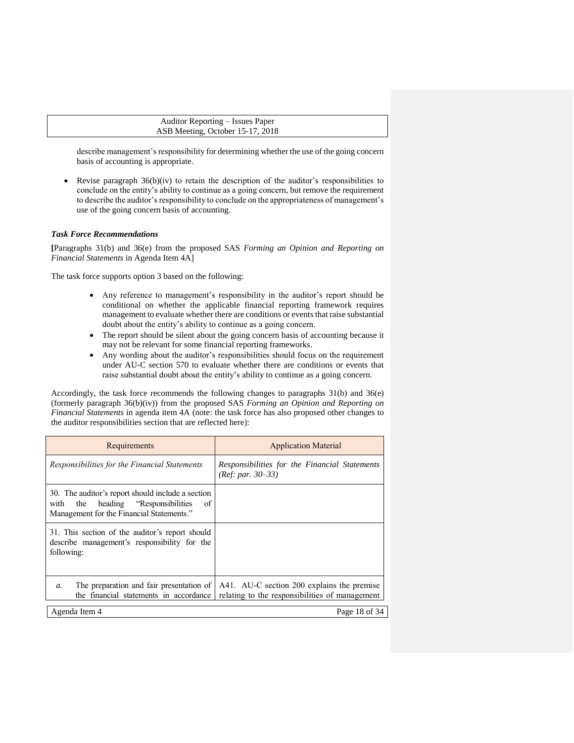| Auditor Reporting – Issues Paper |  |
|----------------------------------|--|
| ASB Meeting, October 15-17, 2018 |  |

describe management's responsibility for determining whether the use of the going concern basis of accounting is appropriate.

 Revise paragraph 36(b)(iv) to retain the description of the auditor's responsibilities to conclude on the entity's ability to continue as a going concern, but remove the requirement to describe the auditor's responsibility to conclude on the appropriateness of management's use of the going concern basis of accounting.

#### *Task Force Recommendations*

**[**Paragraphs 31(b) and 36(e) from the proposed SAS *Forming an Opinion and Reporting on Financial Statements* in Agenda Item 4A]

The task force supports option 3 based on the following:

- Any reference to management's responsibility in the auditor's report should be conditional on whether the applicable financial reporting framework requires management to evaluate whether there are conditions or events that raise substantial doubt about the entity's ability to continue as a going concern.
- The report should be silent about the going concern basis of accounting because it may not be relevant for some financial reporting frameworks.
- Any wording about the auditor's responsibilities should focus on the requirement under AU-C section 570 to evaluate whether there are conditions or events that raise substantial doubt about the entity's ability to continue as a going concern.

Accordingly, the task force recommends the following changes to paragraphs 31(b) and 36(e) (formerly paragraph 36(b)(iv)) from the proposed SAS *Forming an Opinion and Reporting on Financial Statements* in agenda item 4A (note: the task force has also proposed other changes to the auditor responsibilities section that are reflected here):

<span id="page-17-0"></span>

| Requirements                                                                                                                                | <b>Application Material</b>                                                                  |
|---------------------------------------------------------------------------------------------------------------------------------------------|----------------------------------------------------------------------------------------------|
| Responsibilities for the Financial Statements                                                                                               | Responsibilities for the Financial Statements<br>(Ref: par. $30-33$ )                        |
| 30. The auditor's report should include a section<br>with the heading "Responsibilities"<br>0f<br>Management for the Financial Statements." |                                                                                              |
| 31. This section of the auditor's report should<br>describe management's responsibility for the<br>following:                               |                                                                                              |
| The preparation and fair presentation of<br>$\mathfrak{a}$ .<br>the financial statements in accordance                                      | A41. AU-C section 200 explains the premise<br>relating to the responsibilities of management |
| Agenda Item 4                                                                                                                               | Page 18 of 34                                                                                |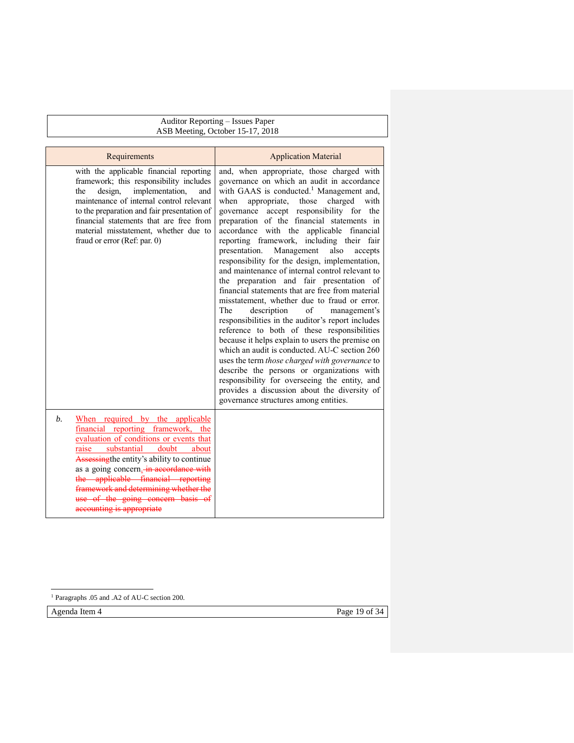| Requirements                                                                                                                                                                                                                                                                                                                                                                                          | <b>Application Material</b>                                                                                                                                                                                                                                                                                                                                                                                                                                                                                                                                                                                                                                                                                                                                                                                                                                                                                                                                                                                                                                                                                                                                                               |
|-------------------------------------------------------------------------------------------------------------------------------------------------------------------------------------------------------------------------------------------------------------------------------------------------------------------------------------------------------------------------------------------------------|-------------------------------------------------------------------------------------------------------------------------------------------------------------------------------------------------------------------------------------------------------------------------------------------------------------------------------------------------------------------------------------------------------------------------------------------------------------------------------------------------------------------------------------------------------------------------------------------------------------------------------------------------------------------------------------------------------------------------------------------------------------------------------------------------------------------------------------------------------------------------------------------------------------------------------------------------------------------------------------------------------------------------------------------------------------------------------------------------------------------------------------------------------------------------------------------|
| with the applicable financial reporting<br>framework; this responsibility includes<br>design,<br>implementation,<br>the<br>and<br>maintenance of internal control relevant<br>to the preparation and fair presentation of<br>financial statements that are free from<br>material misstatement, whether due to<br>fraud or error (Ref: par. 0)                                                         | and, when appropriate, those charged with<br>governance on which an audit in accordance<br>with GAAS is conducted. <sup>1</sup> Management and,<br>appropriate, those<br>charged<br>when<br>with<br>governance accept responsibility for the<br>preparation of the financial statements in<br>accordance with the applicable financial<br>reporting framework, including their<br>fair<br>presentation.<br>Management<br>also<br>accepts<br>responsibility for the design, implementation,<br>and maintenance of internal control relevant to<br>the preparation and fair presentation of<br>financial statements that are free from material<br>misstatement, whether due to fraud or error.<br>The<br>description<br>of management's<br>responsibilities in the auditor's report includes<br>reference to both of these responsibilities<br>because it helps explain to users the premise on<br>which an audit is conducted. AU-C section 260<br>uses the term those charged with governance to<br>describe the persons or organizations with<br>responsibility for overseeing the entity, and<br>provides a discussion about the diversity of<br>governance structures among entities. |
| When required by the applicable<br>b.<br>financial reporting framework, the<br>evaluation of conditions or events that<br>raise substantial doubt about<br><b>Assessingthe entity's ability to continue</b><br>as a going concern_in accordance with<br>the applicable financial reporting<br>framework and determining whether the<br>use of the going concern basis of<br>accounting is appropriate |                                                                                                                                                                                                                                                                                                                                                                                                                                                                                                                                                                                                                                                                                                                                                                                                                                                                                                                                                                                                                                                                                                                                                                                           |

<sup>1</sup> Paragraphs .05 and .A2 of AU-C section 200.

 $\overline{a}$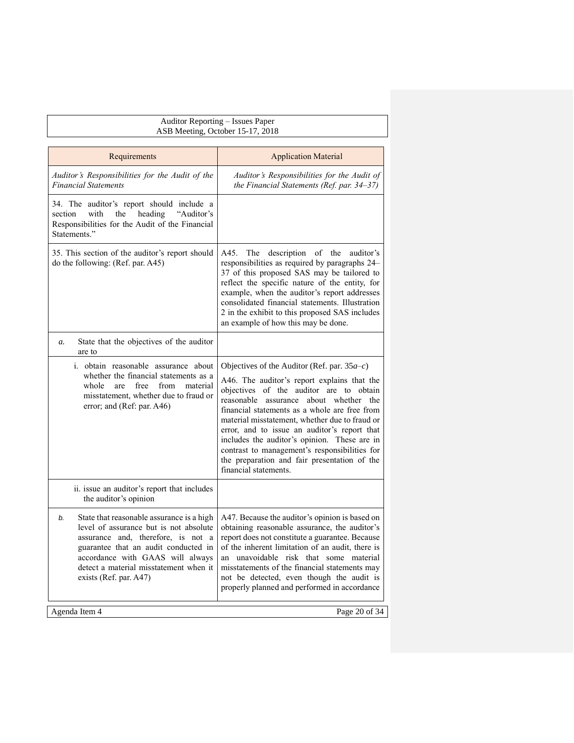<span id="page-19-0"></span>

| Requirements                                                                                                                                                                                                                                                                    | <b>Application Material</b>                                                                                                                                                                                                                                                                                                                                                                                                                                                                                           |
|---------------------------------------------------------------------------------------------------------------------------------------------------------------------------------------------------------------------------------------------------------------------------------|-----------------------------------------------------------------------------------------------------------------------------------------------------------------------------------------------------------------------------------------------------------------------------------------------------------------------------------------------------------------------------------------------------------------------------------------------------------------------------------------------------------------------|
| Auditor's Responsibilities for the Audit of the<br><b>Financial Statements</b>                                                                                                                                                                                                  | Auditor's Responsibilities for the Audit of<br>the Financial Statements (Ref. par. 34-37)                                                                                                                                                                                                                                                                                                                                                                                                                             |
| 34. The auditor's report should include a<br>section<br>with<br>heading<br>"Auditor's<br>the<br>Responsibilities for the Audit of the Financial<br>Statements."                                                                                                                 |                                                                                                                                                                                                                                                                                                                                                                                                                                                                                                                       |
| 35. This section of the auditor's report should<br>do the following: (Ref. par. A45)                                                                                                                                                                                            | description of the<br>A45.<br>The<br>auditor's<br>responsibilities as required by paragraphs 24-<br>37 of this proposed SAS may be tailored to<br>reflect the specific nature of the entity, for<br>example, when the auditor's report addresses<br>consolidated financial statements. Illustration<br>2 in the exhibit to this proposed SAS includes<br>an example of how this may be done.                                                                                                                          |
| State that the objectives of the auditor<br>a.<br>are to                                                                                                                                                                                                                        |                                                                                                                                                                                                                                                                                                                                                                                                                                                                                                                       |
| i. obtain reasonable assurance about<br>whether the financial statements as a<br>free<br>from<br>material<br>whole<br>are<br>misstatement, whether due to fraud or<br>error; and (Ref: par. A46)                                                                                | Objectives of the Auditor (Ref. par. $35a-c$ )<br>A46. The auditor's report explains that the<br>objectives of the auditor are to obtain<br>reasonable<br>assurance<br>about whether the<br>financial statements as a whole are free from<br>material misstatement, whether due to fraud or<br>error, and to issue an auditor's report that<br>includes the auditor's opinion. These are in<br>contrast to management's responsibilities for<br>the preparation and fair presentation of the<br>financial statements. |
| ii. issue an auditor's report that includes<br>the auditor's opinion                                                                                                                                                                                                            |                                                                                                                                                                                                                                                                                                                                                                                                                                                                                                                       |
| State that reasonable assurance is a high<br>b.<br>level of assurance but is not absolute<br>assurance and, therefore, is not a<br>guarantee that an audit conducted in<br>accordance with GAAS will always<br>detect a material misstatement when it<br>exists (Ref. par. A47) | A47. Because the auditor's opinion is based on<br>obtaining reasonable assurance, the auditor's<br>report does not constitute a guarantee. Because<br>of the inherent limitation of an audit, there is<br>an unavoidable risk that some material<br>misstatements of the financial statements may<br>not be detected, even though the audit is<br>properly planned and performed in accordance                                                                                                                        |
| Agenda Item 4                                                                                                                                                                                                                                                                   | Page 20 of 34                                                                                                                                                                                                                                                                                                                                                                                                                                                                                                         |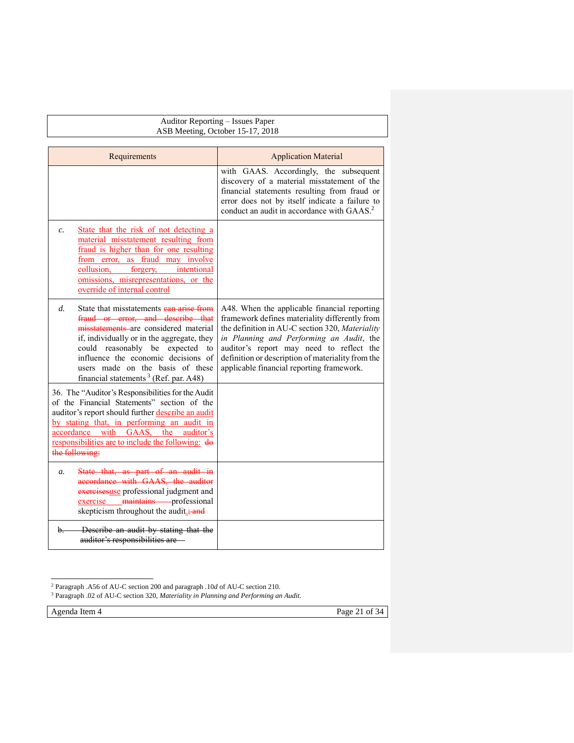| Requirements                                                                                                                                                                                                                                                                                                                                       | <b>Application Material</b>                                                                                                                                                                                                                                                                                                                 |
|----------------------------------------------------------------------------------------------------------------------------------------------------------------------------------------------------------------------------------------------------------------------------------------------------------------------------------------------------|---------------------------------------------------------------------------------------------------------------------------------------------------------------------------------------------------------------------------------------------------------------------------------------------------------------------------------------------|
|                                                                                                                                                                                                                                                                                                                                                    | with GAAS. Accordingly, the subsequent<br>discovery of a material misstatement of the<br>financial statements resulting from fraud or<br>error does not by itself indicate a failure to<br>conduct an audit in accordance with GAAS. <sup>2</sup>                                                                                           |
| State that the risk of not detecting a<br>$\mathcal{C}$ .<br>material misstatement resulting from<br>fraud is higher than for one resulting<br>from error, as fraud may involve<br>collusion, forgery, intentional<br>omissions, misrepresentations, or the<br>override of internal control                                                        |                                                                                                                                                                                                                                                                                                                                             |
| $d$ .<br>State that misstatements can arise from<br>fraud or error, and describe that<br>misstatements are considered material<br>if, individually or in the aggregate, they<br>could reasonably be expected<br>to<br>influence the economic decisions of<br>users made on the basis of these<br>financial statements <sup>3</sup> (Ref. par. A48) | A48. When the applicable financial reporting<br>framework defines materiality differently from<br>the definition in AU-C section 320, Materiality<br>in Planning and Performing an Audit, the<br>auditor's report may need to reflect the<br>definition or description of materiality from the<br>applicable financial reporting framework. |
| 36. The "Auditor's Responsibilities for the Audit<br>of the Financial Statements" section of the<br>auditor's report should further describe an audit<br>by stating that, in performing an audit in<br>accordance with GAAS, the<br>auditor's<br>responsibilities are to include the following: do<br>the following:                               |                                                                                                                                                                                                                                                                                                                                             |
| State that, as part of an audit in<br>$a$ .<br>accordance with GAAS, the auditor<br>exercisesuse professional judgment and<br>exercise maintains professional<br>skepticism throughout the audits: and                                                                                                                                             |                                                                                                                                                                                                                                                                                                                                             |
| Describe an audit by stating that the<br>$b -$<br>auditor's responsibilities are                                                                                                                                                                                                                                                                   |                                                                                                                                                                                                                                                                                                                                             |

<sup>2</sup> Paragraph .A56 of AU-C section 200 and paragraph .10*d* of AU-C section 210.

l

<sup>3</sup> Paragraph .02 of AU-C section 320, *Materiality in Planning and Performing an Audit.*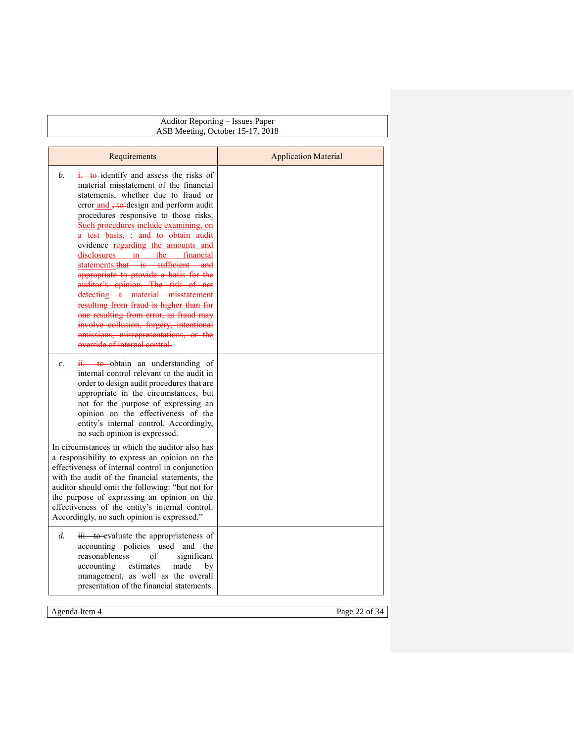| Requirements                                                                                                                                                                                                                                                                                                                                                                                                                                                                                                                                                                                                                                                                                                                                | <b>Application Material</b> |
|---------------------------------------------------------------------------------------------------------------------------------------------------------------------------------------------------------------------------------------------------------------------------------------------------------------------------------------------------------------------------------------------------------------------------------------------------------------------------------------------------------------------------------------------------------------------------------------------------------------------------------------------------------------------------------------------------------------------------------------------|-----------------------------|
| i. to identify and assess the risks of<br>b.<br>material misstatement of the financial<br>statements, whether due to fraud or<br>error and : to design and perform audit<br>procedures responsive to those risks.<br>Such procedures include examining, on<br>a test basis, ; and to obtain audit<br>evidence regarding the amounts and<br>disclosures in the financial<br>statements that is sufficient and<br>appropriate to provide a basis for the<br>auditor's opinion. The risk of not<br>detecting a material misstatement<br>resulting from fraud is higher than for<br>one resulting from error, as fraud may<br>involve collusion, forgery, intentional<br>omissions, misrepresentations, or the<br>override of internal control. |                             |
| ii. to obtain an understanding of<br>$\mathcal{C}$ .<br>internal control relevant to the audit in<br>order to design audit procedures that are<br>appropriate in the circumstances, but<br>not for the purpose of expressing an<br>opinion on the effectiveness of the<br>entity's internal control. Accordingly,<br>no such opinion is expressed.                                                                                                                                                                                                                                                                                                                                                                                          |                             |
| In circumstances in which the auditor also has<br>a responsibility to express an opinion on the<br>effectiveness of internal control in conjunction<br>with the audit of the financial statements, the<br>auditor should omit the following: "but not for<br>the purpose of expressing an opinion on the<br>effectiveness of the entity's internal control.<br>Accordingly, no such opinion is expressed."                                                                                                                                                                                                                                                                                                                                  |                             |
| d.<br>iii. to evaluate the appropriateness of<br>accounting policies used and the<br>reasonableness<br>of<br>significant<br>accounting<br>estimates<br>made<br>by<br>management, as well as the overall<br>presentation of the financial statements.                                                                                                                                                                                                                                                                                                                                                                                                                                                                                        |                             |
| Agenda Item 4                                                                                                                                                                                                                                                                                                                                                                                                                                                                                                                                                                                                                                                                                                                               | Page 22 of 34               |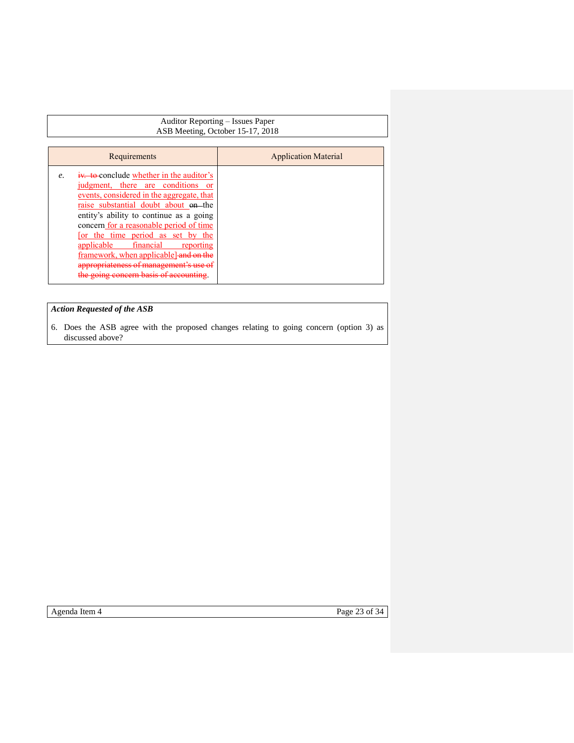|    | Requirements                                                                                                                                                                                                                                                                                                                                                                | <b>Application Material</b> |
|----|-----------------------------------------------------------------------------------------------------------------------------------------------------------------------------------------------------------------------------------------------------------------------------------------------------------------------------------------------------------------------------|-----------------------------|
| e. | iv. to conclude whether in the auditor's<br>judgment, there are conditions or<br>events, considered in the aggregate, that<br>raise substantial doubt about on the<br>entity's ability to continue as a going<br>concern for a reasonable period of time<br>for the time period as set by the<br>applicable financial<br>reporting<br>framework, when applicable and on the |                             |

# *Action Requested of the ASB*

6. Does the ASB agree with the proposed changes relating to going concern (option 3) as discussed above?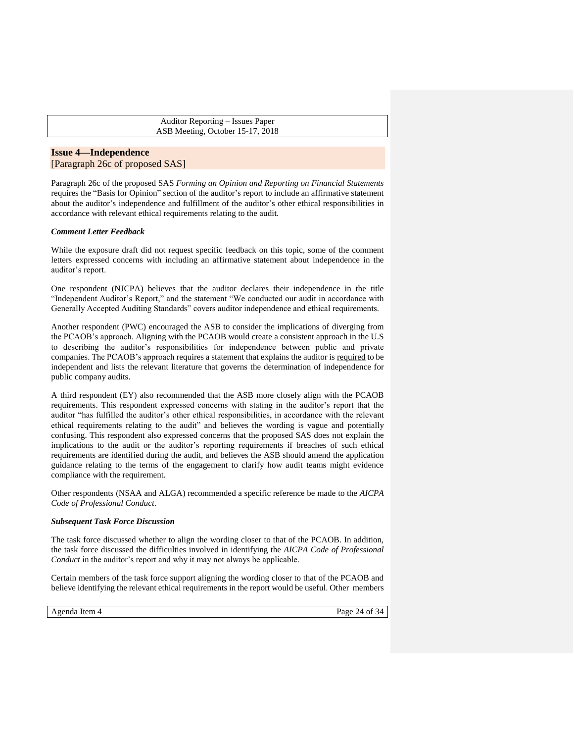## <span id="page-23-0"></span>**Issue 4—Independence** [Paragraph 26c of proposed SAS]

Paragraph 26c of the proposed SAS *Forming an Opinion and Reporting on Financial Statements* requires the "Basis for Opinion" section of the auditor's report to include an affirmative statement about the auditor's independence and fulfillment of the auditor's other ethical responsibilities in accordance with relevant ethical requirements relating to the audit.

#### *Comment Letter Feedback*

While the exposure draft did not request specific feedback on this topic, some of the comment letters expressed concerns with including an affirmative statement about independence in the auditor's report.

One respondent (NJCPA) believes that the auditor declares their independence in the title "Independent Auditor's Report," and the statement "We conducted our audit in accordance with Generally Accepted Auditing Standards" covers auditor independence and ethical requirements.

Another respondent (PWC) encouraged the ASB to consider the implications of diverging from the PCAOB's approach. Aligning with the PCAOB would create a consistent approach in the U.S to describing the auditor's responsibilities for independence between public and private companies. The PCAOB's approach requires a statement that explains the auditor is required to be independent and lists the relevant literature that governs the determination of independence for public company audits.

A third respondent (EY) also recommended that the ASB more closely align with the PCAOB requirements. This respondent expressed concerns with stating in the auditor's report that the auditor "has fulfilled the auditor's other ethical responsibilities, in accordance with the relevant ethical requirements relating to the audit" and believes the wording is vague and potentially confusing. This respondent also expressed concerns that the proposed SAS does not explain the implications to the audit or the auditor's reporting requirements if breaches of such ethical requirements are identified during the audit, and believes the ASB should amend the application guidance relating to the terms of the engagement to clarify how audit teams might evidence compliance with the requirement.

Other respondents (NSAA and ALGA) recommended a specific reference be made to the *AICPA Code of Professional Conduct*.

### *Subsequent Task Force Discussion*

The task force discussed whether to align the wording closer to that of the PCAOB. In addition, the task force discussed the difficulties involved in identifying the *AICPA Code of Professional Conduct* in the auditor's report and why it may not always be applicable.

Certain members of the task force support aligning the wording closer to that of the PCAOB and believe identifying the relevant ethical requirements in the report would be useful. Other members

Agenda Item 4 Page 24 of 34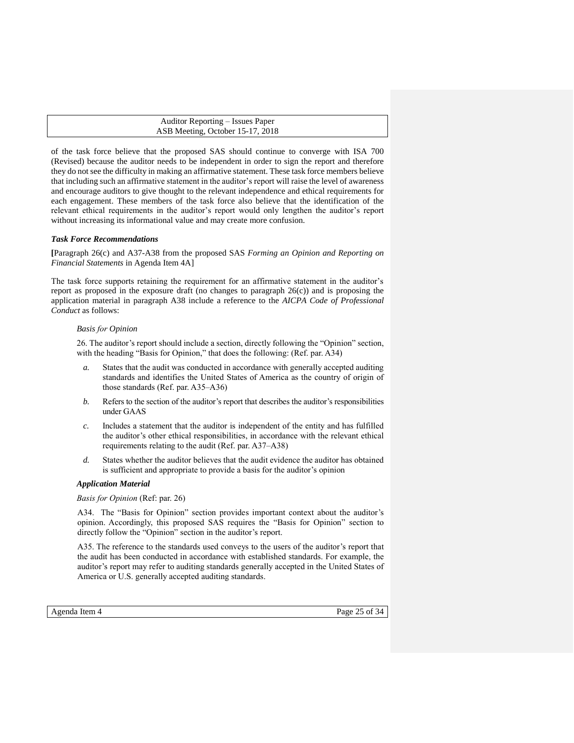| Auditor Reporting – Issues Paper |  |
|----------------------------------|--|
| ASB Meeting, October 15-17, 2018 |  |

of the task force believe that the proposed SAS should continue to converge with ISA 700 (Revised) because the auditor needs to be independent in order to sign the report and therefore they do not see the difficulty in making an affirmative statement. These task force members believe that including such an affirmative statement in the auditor's report will raise the level of awareness and encourage auditors to give thought to the relevant independence and ethical requirements for each engagement. These members of the task force also believe that the identification of the relevant ethical requirements in the auditor's report would only lengthen the auditor's report without increasing its informational value and may create more confusion.

#### *Task Force Recommendations*

**[**Paragraph 26(c) and A37-A38 from the proposed SAS *Forming an Opinion and Reporting on Financial Statements* in Agenda Item 4A]

The task force supports retaining the requirement for an affirmative statement in the auditor's report as proposed in the exposure draft (no changes to paragraph  $26(c)$ ) and is proposing the application material in paragraph A38 include a reference to the *AICPA Code of Professional Conduct* as follows:

#### *Basis for Opinion*

26. The auditor's report should include a section, directly following the "Opinion" section, with the heading "Basis for Opinion," that does the following: (Ref. par. A34)

- *a.* States that the audit was conducted in accordance with generally accepted auditing standards and identifies the United States of America as the country of origin of those standards (Ref. par. A35–A36)
- *b.* Refers to the section of the auditor's report that describes the auditor's responsibilities under GAAS
- *c.* Includes a statement that the auditor is independent of the entity and has fulfilled the auditor's other ethical responsibilities, in accordance with the relevant ethical requirements relating to the audit (Ref. par. A37–A38)
- *d.* States whether the auditor believes that the audit evidence the auditor has obtained is sufficient and appropriate to provide a basis for the auditor's opinion

## *Application Material*

*Basis for Opinion* (Ref: par. 26)

A34. The "Basis for Opinion" section provides important context about the auditor's opinion. Accordingly, this proposed SAS requires the "Basis for Opinion" section to directly follow the "Opinion" section in the auditor's report.

A35. The reference to the standards used conveys to the users of the auditor's report that the audit has been conducted in accordance with established standards. For example, the auditor's report may refer to auditing standards generally accepted in the United States of America or U.S. generally accepted auditing standards.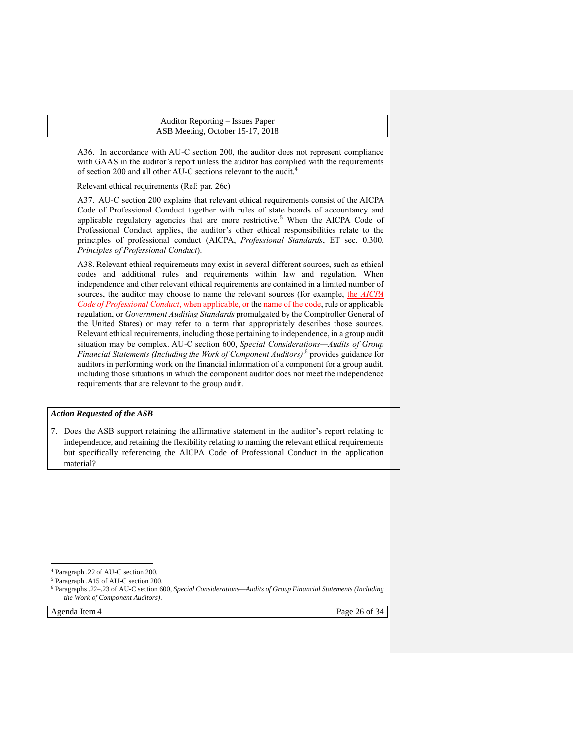| Auditor Reporting – Issues Paper |  |
|----------------------------------|--|
| ASB Meeting, October 15-17, 2018 |  |

A36. In accordance with AU-C section 200, the auditor does not represent compliance with GAAS in the auditor's report unless the auditor has complied with the requirements of section 200 and all other AU-C sections relevant to the audit.<sup>4</sup>

Relevant ethical requirements (Ref: par. 26c)

A37. AU-C section 200 explains that relevant ethical requirements consist of the AICPA Code of Professional Conduct together with rules of state boards of accountancy and applicable regulatory agencies that are more restrictive.<sup>5</sup> When the AICPA Code of Professional Conduct applies, the auditor's other ethical responsibilities relate to the principles of professional conduct (AICPA, *Professional Standards*, ET sec. 0.300, *Principles of Professional Conduct*).

A38. Relevant ethical requirements may exist in several different sources, such as ethical codes and additional rules and requirements within law and regulation. When independence and other relevant ethical requirements are contained in a limited number of sources, the auditor may choose to name the relevant sources (for example, the *AICPA Code of Professional Conduct*, when applicable, or the name of the code, rule or applicable regulation, or *Government Auditing Standards* promulgated by the Comptroller General of the United States) or may refer to a term that appropriately describes those sources. Relevant ethical requirements, including those pertaining to independence, in a group audit situation may be complex. AU-C section 600, *Special Considerations—Audits of Group Financial Statements (Including the Work of Component Auditors)*,6 provides guidance for auditors in performing work on the financial information of a component for a group audit, including those situations in which the component auditor does not meet the independence requirements that are relevant to the group audit.

#### *Action Requested of the ASB*

7. Does the ASB support retaining the affirmative statement in the auditor's report relating to independence, and retaining the flexibility relating to naming the relevant ethical requirements but specifically referencing the AICPA Code of Professional Conduct in the application material?

 $\overline{a}$ 

<sup>4</sup> Paragraph .22 of AU-C section 200.

<sup>5</sup> Paragraph .A15 of AU-C section 200.

<sup>6</sup> Paragraphs .22–.23 of AU-C section 600, *Special Considerations—Audits of Group Financial Statements (Including the Work of Component Auditors)*.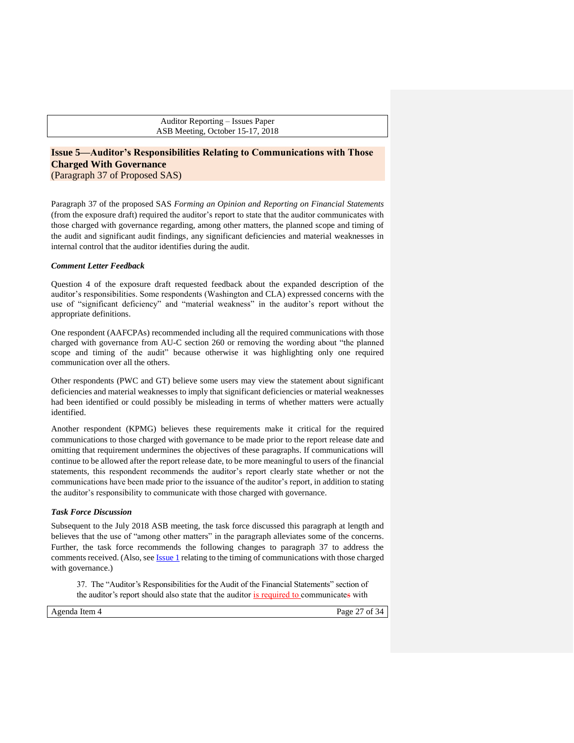## <span id="page-26-0"></span>**Issue 5—Auditor's Responsibilities Relating to Communications with Those Charged With Governance** (Paragraph 37 of Proposed SAS)

Paragraph 37 of the proposed SAS *Forming an Opinion and Reporting on Financial Statements* (from the exposure draft) required the auditor's report to state that the auditor communicates with those charged with governance regarding, among other matters, the planned scope and timing of the audit and significant audit findings, any significant deficiencies and material weaknesses in internal control that the auditor identifies during the audit.

#### *Comment Letter Feedback*

Question 4 of the exposure draft requested feedback about the expanded description of the auditor's responsibilities. Some respondents (Washington and CLA) expressed concerns with the use of "significant deficiency" and "material weakness" in the auditor's report without the appropriate definitions.

One respondent (AAFCPAs) recommended including all the required communications with those charged with governance from AU-C section 260 or removing the wording about "the planned scope and timing of the audit" because otherwise it was highlighting only one required communication over all the others.

Other respondents (PWC and GT) believe some users may view the statement about significant deficiencies and material weaknesses to imply that significant deficiencies or material weaknesses had been identified or could possibly be misleading in terms of whether matters were actually identified.

Another respondent (KPMG) believes these requirements make it critical for the required communications to those charged with governance to be made prior to the report release date and omitting that requirement undermines the objectives of these paragraphs. If communications will continue to be allowed after the report release date, to be more meaningful to users of the financial statements, this respondent recommends the auditor's report clearly state whether or not the communications have been made prior to the issuance of the auditor's report, in addition to stating the auditor's responsibility to communicate with those charged with governance.

#### *Task Force Discussion*

Subsequent to the July 2018 ASB meeting, the task force discussed this paragraph at length and believes that the use of "among other matters" in the paragraph alleviates some of the concerns. Further, the task force recommends the following changes to paragraph 37 to address the comments received. (Also, see [Issue 1](#page-9-0) relating to the timing of communications with those charged with governance.)

37. The "Auditor's Responsibilities for the Audit of the Financial Statements" section of the auditor's report should also state that the auditor is required to communicates with

Agenda Item 4 Page 27 of 34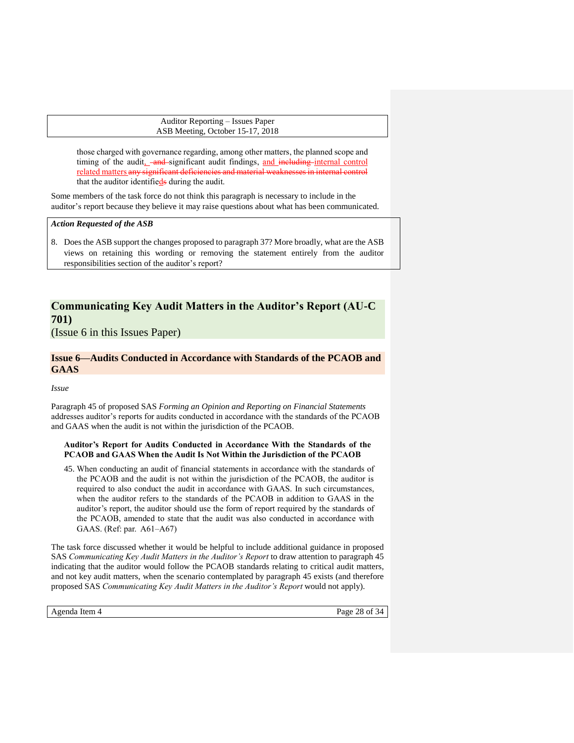| Auditor Reporting – Issues Paper |  |
|----------------------------------|--|
| ASB Meeting, October 15-17, 2018 |  |

those charged with governance regarding, among other matters, the planned scope and timing of the audit, and significant audit findings, and including internal control related matters any significant deficiencies and material weaknesses in internal control that the auditor identifieds during the audit.

Some members of the task force do not think this paragraph is necessary to include in the auditor's report because they believe it may raise questions about what has been communicated.

*Action Requested of the ASB*

8. Does the ASB support the changes proposed to paragraph 37? More broadly, what are the ASB views on retaining this wording or removing the statement entirely from the auditor responsibilities section of the auditor's report?

# **Communicating Key Audit Matters in the Auditor's Report (AU-C 701)**

(Issue 6 in this Issues Paper)

# <span id="page-27-0"></span>**Issue 6—Audits Conducted in Accordance with Standards of the PCAOB and GAAS**

*Issue*

Paragraph 45 of proposed SAS *Forming an Opinion and Reporting on Financial Statements* addresses auditor's reports for audits conducted in accordance with the standards of the PCAOB and GAAS when the audit is not within the jurisdiction of the PCAOB.

#### **Auditor's Report for Audits Conducted in Accordance With the Standards of the PCAOB and GAAS When the Audit Is Not Within the Jurisdiction of the PCAOB**

45. When conducting an audit of financial statements in accordance with the standards of the PCAOB and the audit is not within the jurisdiction of the PCAOB, the auditor is required to also conduct the audit in accordance with GAAS. In such circumstances, when the auditor refers to the standards of the PCAOB in addition to GAAS in the auditor's report, the auditor should use the form of report required by the standards of the PCAOB, amended to state that the audit was also conducted in accordance with GAAS. (Ref: par. A61–A67)

The task force discussed whether it would be helpful to include additional guidance in proposed SAS *Communicating Key Audit Matters in the Auditor's Report* to draw attention to paragraph 45 indicating that the auditor would follow the PCAOB standards relating to critical audit matters, and not key audit matters, when the scenario contemplated by paragraph 45 exists (and therefore proposed SAS *Communicating Key Audit Matters in the Auditor's Report* would not apply).

Agenda Item 4 Page 28 of 34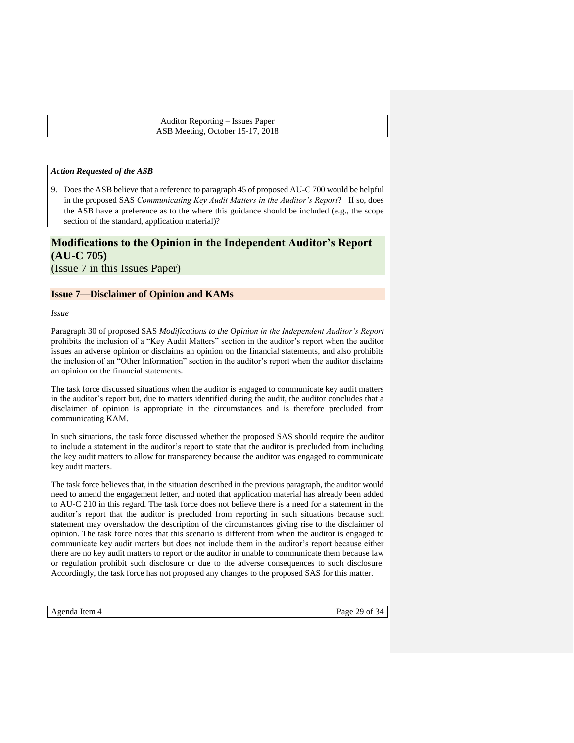#### *Action Requested of the ASB*

9. Does the ASB believe that a reference to paragraph 45 of proposed AU-C 700 would be helpful in the proposed SAS *Communicating Key Audit Matters in the Auditor's Report*? If so, does the ASB have a preference as to the where this guidance should be included (e.g., the scope section of the standard, application material)?

# **Modifications to the Opinion in the Independent Auditor's Report (AU-C 705)**

(Issue 7 in this Issues Paper)

## <span id="page-28-0"></span>**Issue 7—Disclaimer of Opinion and KAMs**

*Issue*

Paragraph 30 of proposed SAS *Modifications to the Opinion in the Independent Auditor's Report*  prohibits the inclusion of a "Key Audit Matters" section in the auditor's report when the auditor issues an adverse opinion or disclaims an opinion on the financial statements, and also prohibits the inclusion of an "Other Information" section in the auditor's report when the auditor disclaims an opinion on the financial statements.

The task force discussed situations when the auditor is engaged to communicate key audit matters in the auditor's report but, due to matters identified during the audit, the auditor concludes that a disclaimer of opinion is appropriate in the circumstances and is therefore precluded from communicating KAM.

In such situations, the task force discussed whether the proposed SAS should require the auditor to include a statement in the auditor's report to state that the auditor is precluded from including the key audit matters to allow for transparency because the auditor was engaged to communicate key audit matters.

The task force believes that, in the situation described in the previous paragraph, the auditor would need to amend the engagement letter, and noted that application material has already been added to AU-C 210 in this regard. The task force does not believe there is a need for a statement in the auditor's report that the auditor is precluded from reporting in such situations because such statement may overshadow the description of the circumstances giving rise to the disclaimer of opinion. The task force notes that this scenario is different from when the auditor is engaged to communicate key audit matters but does not include them in the auditor's report because either there are no key audit matters to report or the auditor in unable to communicate them because law or regulation prohibit such disclosure or due to the adverse consequences to such disclosure. Accordingly, the task force has not proposed any changes to the proposed SAS for this matter.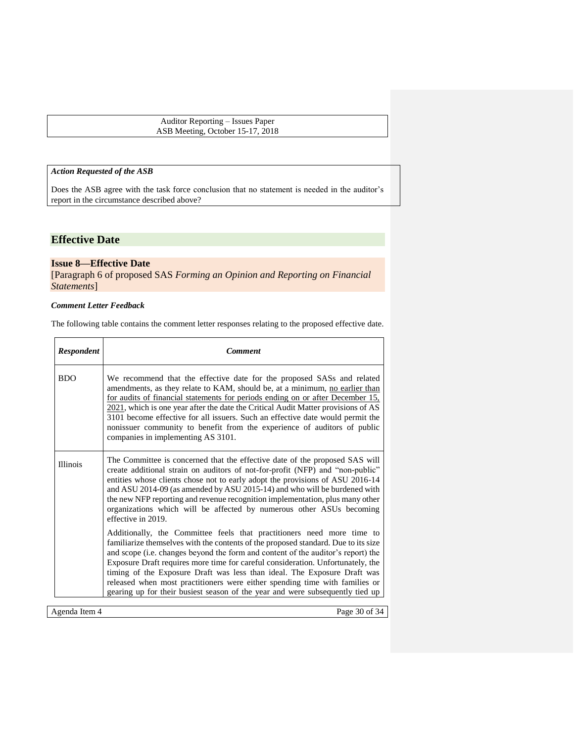# *Action Requested of the ASB*

Does the ASB agree with the task force conclusion that no statement is needed in the auditor's report in the circumstance described above?

# **Effective Date**

 $\mathbf{r}$ 

# <span id="page-29-0"></span>**Issue 8—Effective Date**

[Paragraph 6 of proposed SAS *Forming an Opinion and Reporting on Financial Statements*]

# *Comment Letter Feedback*

The following table contains the comment letter responses relating to the proposed effective date.

| <b>Respondent</b> | Comment                                                                                                                                                                                                                                                                                                                                                                                                                                                                                                                                                                         |
|-------------------|---------------------------------------------------------------------------------------------------------------------------------------------------------------------------------------------------------------------------------------------------------------------------------------------------------------------------------------------------------------------------------------------------------------------------------------------------------------------------------------------------------------------------------------------------------------------------------|
| <b>BDO</b>        | We recommend that the effective date for the proposed SASs and related<br>amendments, as they relate to KAM, should be, at a minimum, no earlier than<br>for audits of financial statements for periods ending on or after December 15,<br>2021, which is one year after the date the Critical Audit Matter provisions of AS<br>3101 become effective for all issuers. Such an effective date would permit the<br>nonissuer community to benefit from the experience of auditors of public<br>companies in implementing AS 3101.                                                |
| <b>Illinois</b>   | The Committee is concerned that the effective date of the proposed SAS will<br>create additional strain on auditors of not-for-profit (NFP) and "non-public"<br>entities whose clients chose not to early adopt the provisions of ASU 2016-14<br>and ASU 2014-09 (as amended by ASU 2015-14) and who will be burdened with<br>the new NFP reporting and revenue recognition implementation, plus many other<br>organizations which will be affected by numerous other ASUs becoming<br>effective in 2019.                                                                       |
|                   | Additionally, the Committee feels that practitioners need more time to<br>familiarize themselves with the contents of the proposed standard. Due to its size<br>and scope (i.e. changes beyond the form and content of the auditor's report) the<br>Exposure Draft requires more time for careful consideration. Unfortunately, the<br>timing of the Exposure Draft was less than ideal. The Exposure Draft was<br>released when most practitioners were either spending time with families or<br>gearing up for their busiest season of the year and were subsequently tied up |

Agenda Item 4 Page 30 of 34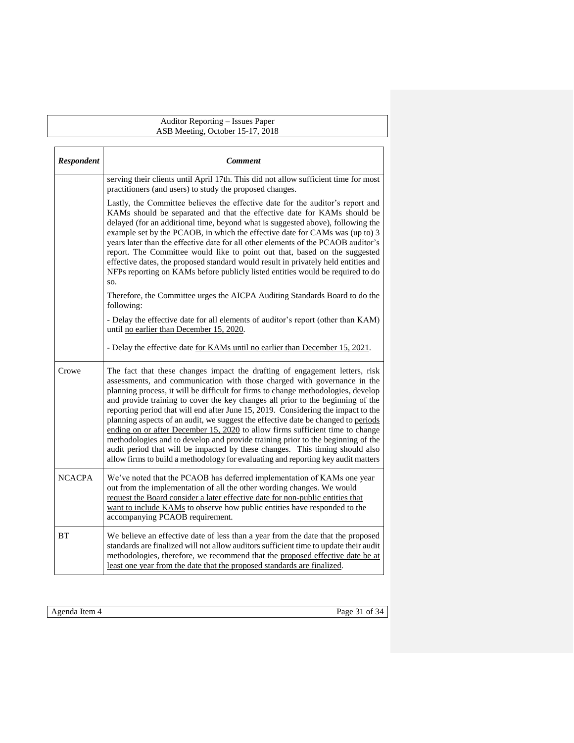| Respondent    | <b>Comment</b>                                                                                                                                                                                                                                                                                                                                                                                                                                                                                                                                                                                                                                                                                                                                                                                                                                     |
|---------------|----------------------------------------------------------------------------------------------------------------------------------------------------------------------------------------------------------------------------------------------------------------------------------------------------------------------------------------------------------------------------------------------------------------------------------------------------------------------------------------------------------------------------------------------------------------------------------------------------------------------------------------------------------------------------------------------------------------------------------------------------------------------------------------------------------------------------------------------------|
|               | serving their clients until April 17th. This did not allow sufficient time for most<br>practitioners (and users) to study the proposed changes.                                                                                                                                                                                                                                                                                                                                                                                                                                                                                                                                                                                                                                                                                                    |
|               | Lastly, the Committee believes the effective date for the auditor's report and<br>KAMs should be separated and that the effective date for KAMs should be<br>delayed (for an additional time, beyond what is suggested above), following the<br>example set by the PCAOB, in which the effective date for CAMs was (up to) 3<br>years later than the effective date for all other elements of the PCAOB auditor's<br>report. The Committee would like to point out that, based on the suggested<br>effective dates, the proposed standard would result in privately held entities and<br>NFPs reporting on KAMs before publicly listed entities would be required to do<br>SO.                                                                                                                                                                     |
|               | Therefore, the Committee urges the AICPA Auditing Standards Board to do the<br>following:                                                                                                                                                                                                                                                                                                                                                                                                                                                                                                                                                                                                                                                                                                                                                          |
|               | - Delay the effective date for all elements of auditor's report (other than KAM)<br>until no earlier than December 15, 2020.                                                                                                                                                                                                                                                                                                                                                                                                                                                                                                                                                                                                                                                                                                                       |
|               | - Delay the effective date for KAMs until no earlier than December 15, 2021.                                                                                                                                                                                                                                                                                                                                                                                                                                                                                                                                                                                                                                                                                                                                                                       |
| Crowe         | The fact that these changes impact the drafting of engagement letters, risk<br>assessments, and communication with those charged with governance in the<br>planning process, it will be difficult for firms to change methodologies, develop<br>and provide training to cover the key changes all prior to the beginning of the<br>reporting period that will end after June 15, 2019. Considering the impact to the<br>planning aspects of an audit, we suggest the effective date be changed to periods<br>ending on or after December 15, 2020 to allow firms sufficient time to change<br>methodologies and to develop and provide training prior to the beginning of the<br>audit period that will be impacted by these changes. This timing should also<br>allow firms to build a methodology for evaluating and reporting key audit matters |
| <b>NCACPA</b> | We've noted that the PCAOB has deferred implementation of KAMs one year<br>out from the implementation of all the other wording changes. We would<br>request the Board consider a later effective date for non-public entities that<br>want to include KAMs to observe how public entities have responded to the<br>accompanying PCAOB requirement.                                                                                                                                                                                                                                                                                                                                                                                                                                                                                                |
| <b>BT</b>     | We believe an effective date of less than a year from the date that the proposed<br>standards are finalized will not allow auditors sufficient time to update their audit<br>methodologies, therefore, we recommend that the proposed effective date be at<br>least one year from the date that the proposed standards are finalized.                                                                                                                                                                                                                                                                                                                                                                                                                                                                                                              |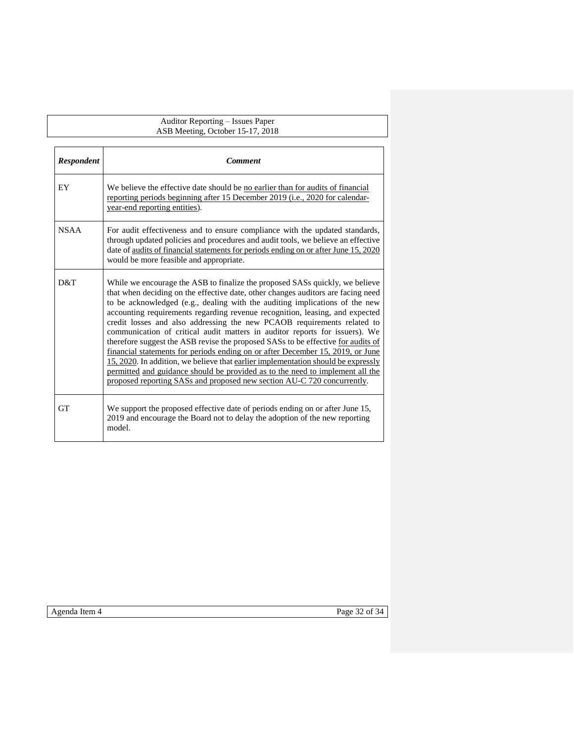| <b>Respondent</b> | <b>Comment</b>                                                                                                                                                                                                                                                                                                                                                                                                                                                                                                                                                                                                                                                                                                                                                                                                                                                                                                   |
|-------------------|------------------------------------------------------------------------------------------------------------------------------------------------------------------------------------------------------------------------------------------------------------------------------------------------------------------------------------------------------------------------------------------------------------------------------------------------------------------------------------------------------------------------------------------------------------------------------------------------------------------------------------------------------------------------------------------------------------------------------------------------------------------------------------------------------------------------------------------------------------------------------------------------------------------|
| EY                | We believe the effective date should be no earlier than for audits of financial<br>reporting periods beginning after 15 December 2019 (i.e., 2020 for calendar-<br>year-end reporting entities).                                                                                                                                                                                                                                                                                                                                                                                                                                                                                                                                                                                                                                                                                                                 |
| <b>NSAA</b>       | For audit effectiveness and to ensure compliance with the updated standards,<br>through updated policies and procedures and audit tools, we believe an effective<br>date of audits of financial statements for periods ending on or after June 15, 2020<br>would be more feasible and appropriate.                                                                                                                                                                                                                                                                                                                                                                                                                                                                                                                                                                                                               |
| D&T               | While we encourage the ASB to finalize the proposed SASs quickly, we believe<br>that when deciding on the effective date, other changes auditors are facing need<br>to be acknowledged (e.g., dealing with the auditing implications of the new<br>accounting requirements regarding revenue recognition, leasing, and expected<br>credit losses and also addressing the new PCAOB requirements related to<br>communication of critical audit matters in auditor reports for issuers). We<br>therefore suggest the ASB revise the proposed SASs to be effective for audits of<br>financial statements for periods ending on or after December 15, 2019, or June<br>15, 2020. In addition, we believe that earlier implementation should be expressly<br>permitted and guidance should be provided as to the need to implement all the<br>proposed reporting SASs and proposed new section AU-C 720 concurrently. |
| <b>GT</b>         | We support the proposed effective date of periods ending on or after June 15,<br>2019 and encourage the Board not to delay the adoption of the new reporting<br>model.                                                                                                                                                                                                                                                                                                                                                                                                                                                                                                                                                                                                                                                                                                                                           |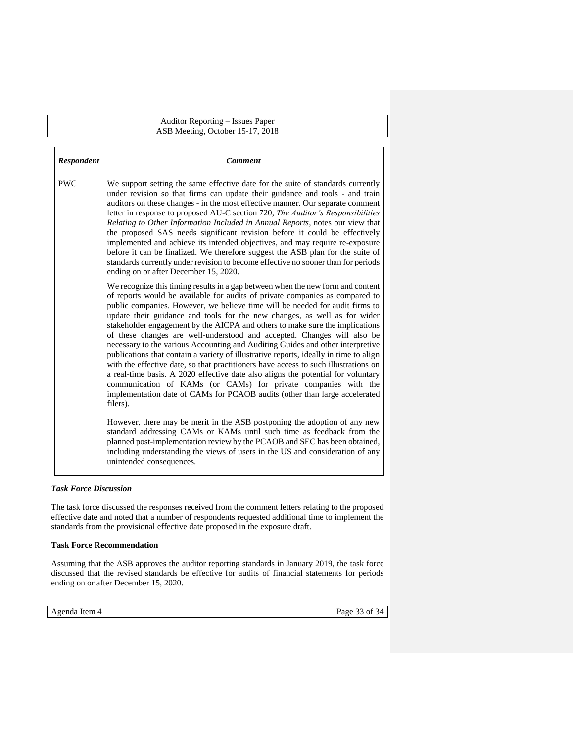| <b>Respondent</b> | <b>Comment</b>                                                                                                                                                                                                                                                                                                                                                                                                                                                                                                                                                                                                                                                                                                                                                                                                                                                                                                                                                                                            |
|-------------------|-----------------------------------------------------------------------------------------------------------------------------------------------------------------------------------------------------------------------------------------------------------------------------------------------------------------------------------------------------------------------------------------------------------------------------------------------------------------------------------------------------------------------------------------------------------------------------------------------------------------------------------------------------------------------------------------------------------------------------------------------------------------------------------------------------------------------------------------------------------------------------------------------------------------------------------------------------------------------------------------------------------|
| <b>PWC</b>        | We support setting the same effective date for the suite of standards currently<br>under revision so that firms can update their guidance and tools - and train<br>auditors on these changes - in the most effective manner. Our separate comment<br>letter in response to proposed AU-C section 720, The Auditor's Responsibilities<br>Relating to Other Information Included in Annual Reports, notes our view that<br>the proposed SAS needs significant revision before it could be effectively<br>implemented and achieve its intended objectives, and may require re-exposure<br>before it can be finalized. We therefore suggest the ASB plan for the suite of<br>standards currently under revision to become effective no sooner than for periods<br>ending on or after December 15, 2020.                                                                                                                                                                                                       |
|                   | We recognize this timing results in a gap between when the new form and content<br>of reports would be available for audits of private companies as compared to<br>public companies. However, we believe time will be needed for audit firms to<br>update their guidance and tools for the new changes, as well as for wider<br>stakeholder engagement by the AICPA and others to make sure the implications<br>of these changes are well-understood and accepted. Changes will also be<br>necessary to the various Accounting and Auditing Guides and other interpretive<br>publications that contain a variety of illustrative reports, ideally in time to align<br>with the effective date, so that practitioners have access to such illustrations on<br>a real-time basis. A 2020 effective date also aligns the potential for voluntary<br>communication of KAMs (or CAMs) for private companies with the<br>implementation date of CAMs for PCAOB audits (other than large accelerated<br>filers). |
|                   | However, there may be merit in the ASB postponing the adoption of any new<br>standard addressing CAMs or KAMs until such time as feedback from the<br>planned post-implementation review by the PCAOB and SEC has been obtained,<br>including understanding the views of users in the US and consideration of any<br>unintended consequences.                                                                                                                                                                                                                                                                                                                                                                                                                                                                                                                                                                                                                                                             |

# *Task Force Discussion*

The task force discussed the responses received from the comment letters relating to the proposed effective date and noted that a number of respondents requested additional time to implement the standards from the provisional effective date proposed in the exposure draft.

### **Task Force Recommendation**

Assuming that the ASB approves the auditor reporting standards in January 2019, the task force discussed that the revised standards be effective for audits of financial statements for periods ending on or after December 15, 2020.

Agenda Item 4 Page 33 of 34